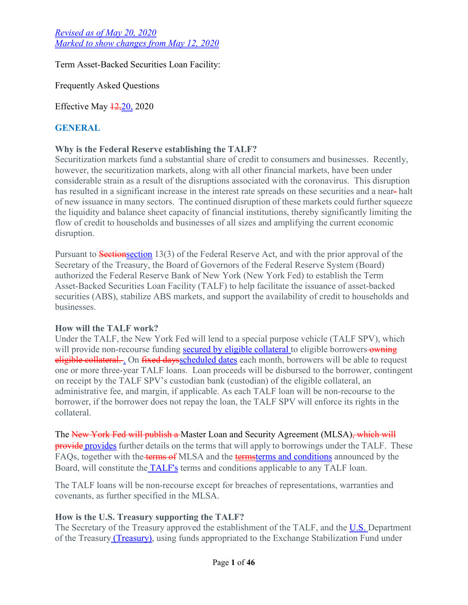Term Asset-Backed Securities Loan Facility:

Frequently Asked Questions

Effective May  $\frac{12,20}{2020}$ 

# **GENERAL**

## **Why is the Federal Reserve establishing the TALF?**

Securitization markets fund a substantial share of credit to consumers and businesses. Recently, however, the securitization markets, along with all other financial markets, have been under considerable strain as a result of the disruptions associated with the coronavirus. This disruption has resulted in a significant increase in the interest rate spreads on these securities and a near- halt of new issuance in many sectors. The continued disruption of these markets could further squeeze the liquidity and balance sheet capacity of financial institutions, thereby significantly limiting the flow of credit to households and businesses of all sizes and amplifying the current economic disruption.

Pursuant to **Sectionsection** 13(3) of the Federal Reserve Act, and with the prior approval of the Secretary of the Treasury, the Board of Governors of the Federal Reserve System (Board) authorized the Federal Reserve Bank of New York (New York Fed) to establish the Term Asset-Backed Securities Loan Facility (TALF) to help facilitate the issuance of asset-backed securities (ABS), stabilize ABS markets, and support the availability of credit to households and businesses.

## **How will the TALF work?**

Under the TALF, the New York Fed will lend to a special purpose vehicle (TALF SPV), which will provide non-recourse funding secured by eligible collateral to eligible borrowers owning eligible collateral... On fixed daysscheduled dates each month, borrowers will be able to request one or more three-year TALF loans. Loan proceeds will be disbursed to the borrower, contingent on receipt by the TALF SPV's custodian bank (custodian) of the eligible collateral, an administrative fee, and margin, if applicable. As each TALF loan will be non-recourse to the borrower, if the borrower does not repay the loan, the TALF SPV will enforce its rights in the collateral.

The New York Fed will publish a Master Loan and Security Agreement (MLSA), which will **provide** provides further details on the terms that will apply to borrowings under the TALF. These FAQs, together with the terms of MLSA and the [termsterms and conditions](https://www.federalreserve.gov/newsevents/pressreleases/files/monetary20200512a1.pdf) announced by the Board, will constitute the TALF's terms and conditions applicable to any TALF loan.

The TALF loans will be non-recourse except for breaches of representations, warranties and covenants, as further specified in the MLSA.

## **How is the U.S. Treasury supporting the TALF?**

The Secretary of the Treasury approved the establishment of the TALF, and the U.S. Department of the Treasury *(Treasury)*, using funds appropriated to the Exchange Stabilization Fund under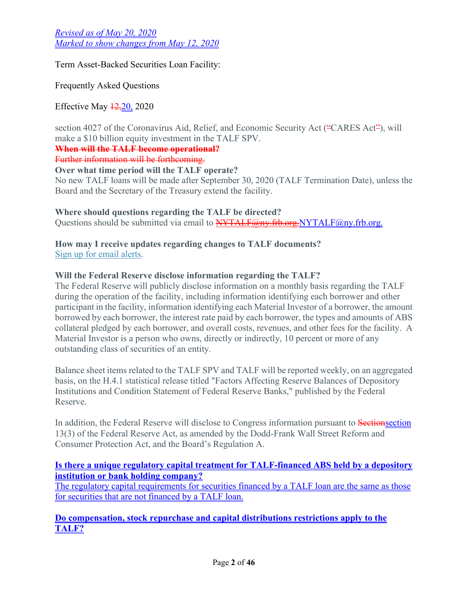Term Asset-Backed Securities Loan Facility:

Frequently Asked Questions

Effective May  $\frac{12,20}{20,2020}$ 

section 4027 of the Coronavirus Aid, Relief, and Economic Security Act ("CARES Act"), will make a \$10 billion equity investment in the TALF SPV.

**When will the TALF become operational?**

Further information will be forthcoming.

**Over what time period will the TALF operate?**

No new TALF loans will be made after September 30, 2020 (TALF Termination Date), unless the Board and the Secretary of the Treasury extend the facility.

**Where should questions regarding the TALF be directed?**

Questions should be submitted via email to **[NYTALF@ny.frb.org](mailto:NYTALF@ny.frb.org).** [NYTALF@ny.frb.org.](mailto:nyTALF@ny.frb.org)

**How may I receive updates regarding changes to TALF documents?** [Sign up for email alerts.](https://public.govdelivery.com/accounts/USFRBNEWYORK/subscriber/new?topic_id=USFRBNEWYORK_86)

## **Will the Federal Reserve disclose information regarding the TALF?**

The Federal Reserve will publicly disclose information on a monthly basis regarding the TALF during the operation of the facility, including information identifying each borrower and other participant in the facility, information identifying each Material Investor of a borrower, the amount borrowed by each borrower, the interest rate paid by each borrower, the types and amounts of ABS collateral pledged by each borrower, and overall costs, revenues, and other fees for the facility. A Material Investor is a person who owns, directly or indirectly, 10 percent or more of any outstanding class of securities of an entity.

Balance sheet items related to the TALF SPV and TALF will be reported weekly, on an aggregated basis, on the H.4.1 statistical release titled "Factors Affecting Reserve Balances of Depository Institutions and Condition Statement of Federal Reserve Banks," published by the Federal Reserve.

In addition, the Federal Reserve will disclose to Congress information pursuant to **Sectionsection** 13(3) of the Federal Reserve Act, as amended by the Dodd-Frank Wall Street Reform and Consumer Protection Act, and the Board's Regulation A.

## **Is there a unique regulatory capital treatment for TALF-financed ABS held by a depository institution or bank holding company?**

The regulatory capital requirements for securities financed by a TALF loan are the same as those for securities that are not financed by a TALF loan.

**Do compensation, stock repurchase and capital distributions restrictions apply to the TALF?**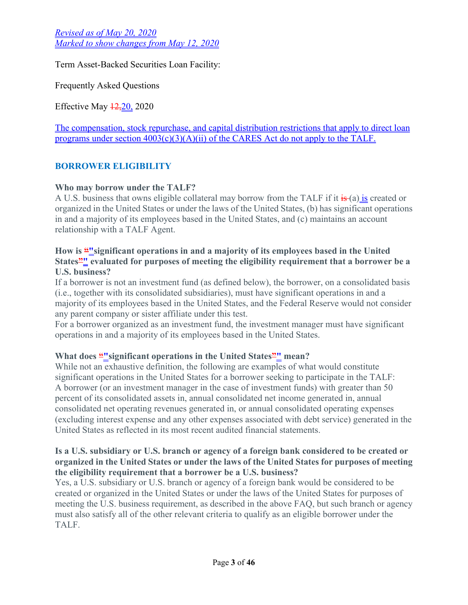Term Asset-Backed Securities Loan Facility:

Frequently Asked Questions

Effective May  $\frac{12,20}{20,2020}$ 

The compensation, stock repurchase, and capital distribution restrictions that apply to direct loan programs under section  $4003(c)(3)(A)(ii)$  of the CARES Act do not apply to the TALF.

## **BORROWER ELIGIBILITY**

## **Who may borrow under the TALF?**

A U.S. business that owns eligible collateral may borrow from the TALF if it is (a) is created or organized in the United States or under the laws of the United States, (b) has significant operations in and a majority of its employees based in the United States, and (c) maintains an account relationship with a TALF Agent.

### How is <u>""significant operations in and a majority of its employees based in the United</u> **States"" evaluated for purposes of meeting the eligibility requirement that a borrower be a U.S. business?**

If a borrower is not an investment fund (as defined below), the borrower, on a consolidated basis (i.e., together with its consolidated subsidiaries), must have significant operations in and a majority of its employees based in the United States, and the Federal Reserve would not consider any parent company or sister affiliate under this test.

For a borrower organized as an investment fund, the investment manager must have significant operations in and a majority of its employees based in the United States.

## **What does "** significant operations in the United States" mean?

While not an exhaustive definition, the following are examples of what would constitute significant operations in the United States for a borrower seeking to participate in the TALF: A borrower (or an investment manager in the case of investment funds) with greater than 50 percent of its consolidated assets in, annual consolidated net income generated in, annual consolidated net operating revenues generated in, or annual consolidated operating expenses (excluding interest expense and any other expenses associated with debt service) generated in the United States as reflected in its most recent audited financial statements.

### **Is a U.S. subsidiary or U.S. branch or agency of a foreign bank considered to be created or organized in the United States or under the laws of the United States for purposes of meeting the eligibility requirement that a borrower be a U.S. business?**

Yes, a U.S. subsidiary or U.S. branch or agency of a foreign bank would be considered to be created or organized in the United States or under the laws of the United States for purposes of meeting the U.S. business requirement, as described in the above FAQ, but such branch or agency must also satisfy all of the other relevant criteria to qualify as an eligible borrower under the TALF.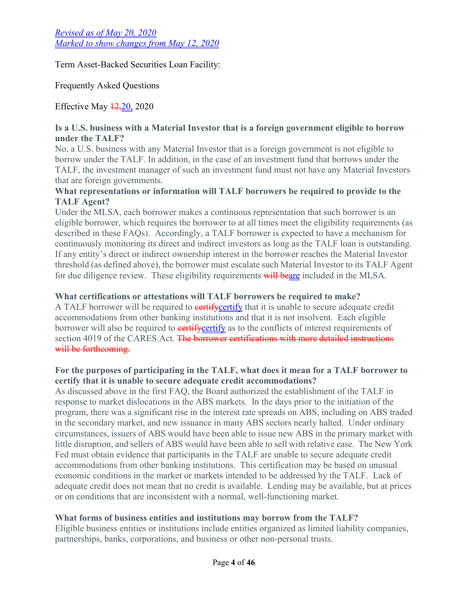Term Asset-Backed Securities Loan Facility:

Frequently Asked Questions

Effective May  $\frac{12,20}{2020}$ 

## **Is a U.S. business with a Material Investor that is a foreign government eligible to borrow under the TALF?**

No, a U.S. business with any Material Investor that is a foreign government is not eligible to borrow under the TALF. In addition, in the case of an investment fund that borrows under the TALF, the investment manager of such an investment fund must not have any Material Investors that are foreign governments.

## **What representations or information will TALF borrowers be required to provide to the TALF Agent?**

Under the MLSA, each borrower makes a continuous representation that such borrower is an eligible borrower, which requires the borrower to at all times meet the eligibility requirements (as described in these FAQs). Accordingly, a TALF borrower is expected to have a mechanism for continuously monitoring its direct and indirect investors as long as the TALF loan is outstanding. If any entity's direct or indirect ownership interest in the borrower reaches the Material Investor threshold (as defined above), the borrower must escalate such Material Investor to its TALF Agent for due diligence review. These eligibility requirements will beare included in the MLSA.

## **What certifications or attestations will TALF borrowers be required to make?**

A TALF borrower will be required to **eertify** certify that it is unable to secure adequate credit accommodations from other banking institutions and that it is not insolvent. Each eligible borrower will also be required to **eertif[ycertify](https://newyorkfedpublicsitescm.ws.frb.org/medialibrary/media/markets/talfdocs/talf-mlsa-appendix2c)** as to the conflicts of interest requirements of section 4019 of the CARES Act. The borrower certifications with more detailed instructions will be forthcoming.

## **For the purposes of participating in the TALF, what does it mean for a TALF borrower to certify that it is unable to secure adequate credit accommodations?**

As discussed above in the first FAQ, the Board authorized the establishment of the TALF in response to market dislocations in the ABS markets. In the days prior to the initiation of the program, there was a significant rise in the interest rate spreads on ABS, including on ABS traded in the secondary market, and new issuance in many ABS sectors nearly halted. Under ordinary circumstances, issuers of ABS would have been able to issue new ABS in the primary market with little disruption, and sellers of ABS would have been able to sell with relative ease. The New York Fed must obtain evidence that participants in the TALF are unable to secure adequate credit accommodations from other banking institutions. This certification may be based on unusual economic conditions in the market or markets intended to be addressed by the TALF. Lack of adequate credit does not mean that no credit is available. Lending may be available, but at prices or on conditions that are inconsistent with a normal, well-functioning market.

# **What forms of business entities and institutions may borrow from the TALF?**

Eligible business entities or institutions include entities organized as limited liability companies, partnerships, banks, corporations, and business or other non-personal trusts.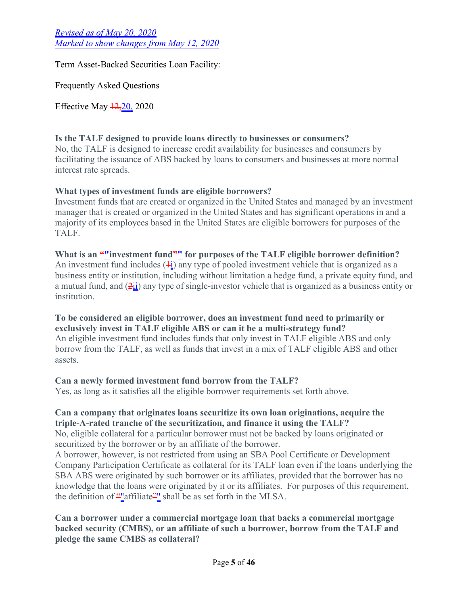Term Asset-Backed Securities Loan Facility:

Frequently Asked Questions

Effective May  $\frac{12,20}{2020}$ 

## **Is the TALF designed to provide loans directly to businesses or consumers?**

No, the TALF is designed to increase credit availability for businesses and consumers by facilitating the issuance of ABS backed by loans to consumers and businesses at more normal interest rate spreads.

## **What types of investment funds are eligible borrowers?**

Investment funds that are created or organized in the United States and managed by an investment manager that is created or organized in the United States and has significant operations in and a majority of its employees based in the United States are eligible borrowers for purposes of the TALF.

# What is an <u>""</u>investment fund" for purposes of the TALF eligible borrower definition?

An investment fund includes  $(1)$  any type of pooled investment vehicle that is organized as a business entity or institution, including without limitation a hedge fund, a private equity fund, and a mutual fund, and  $(2ii)$  any type of single-investor vehicle that is organized as a business entity or institution.

## **To be considered an eligible borrower, does an investment fund need to primarily or exclusively invest in TALF eligible ABS or can it be a multi-strategy fund?**

An eligible investment fund includes funds that only invest in TALF eligible ABS and only borrow from the TALF, as well as funds that invest in a mix of TALF eligible ABS and other assets.

## **Can a newly formed investment fund borrow from the TALF?**

Yes, as long as it satisfies all the eligible borrower requirements set forth above.

# **Can a company that originates loans securitize its own loan originations, acquire the triple-A-rated tranche of the securitization, and finance it using the TALF?**

No, eligible collateral for a particular borrower must not be backed by loans originated or securitized by the borrower or by an affiliate of the borrower.

A borrower, however, is not restricted from using an SBA Pool Certificate or Development Company Participation Certificate as collateral for its TALF loan even if the loans underlying the SBA ABS were originated by such borrower or its affiliates, provided that the borrower has no knowledge that the loans were originated by it or its affiliates. For purposes of this requirement, the definition of ""affiliate"" shall be as set forth in the MLSA.

## **Can a borrower under a commercial mortgage loan that backs a commercial mortgage backed security (CMBS), or an affiliate of such a borrower, borrow from the TALF and pledge the same CMBS as collateral?**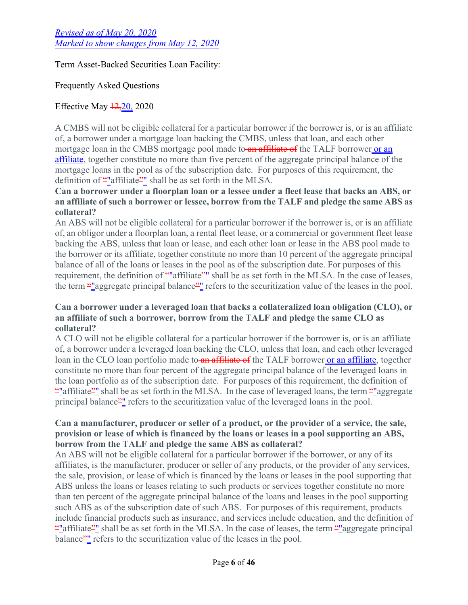Term Asset-Backed Securities Loan Facility:

Frequently Asked Questions

## Effective May  $\frac{12,20}{20,2020}$

A CMBS will not be eligible collateral for a particular borrower if the borrower is, or is an affiliate of, a borrower under a mortgage loan backing the CMBS, unless that loan, and each other mortgage loan in the CMBS mortgage pool made to an affiliate of the TALF borrower or an affiliate, together constitute no more than five percent of the aggregate principal balance of the mortgage loans in the pool as of the subscription date. For purposes of this requirement, the definition of ""affiliate"" shall be as set forth in the MLSA.

## **Can a borrower under a floorplan loan or a lessee under a fleet lease that backs an ABS, or an affiliate of such a borrower or lessee, borrow from the TALF and pledge the same ABS as collateral?**

An ABS will not be eligible collateral for a particular borrower if the borrower is, or is an affiliate of, an obligor under a floorplan loan, a rental fleet lease, or a commercial or government fleet lease backing the ABS, unless that loan or lease, and each other loan or lease in the ABS pool made to the borrower or its affiliate, together constitute no more than 10 percent of the aggregate principal balance of all of the loans or leases in the pool as of the subscription date. For purposes of this requirement, the definition of  $\frac{u}{v}$  affiliate<sup> $\frac{u}{v}$ </sup> shall be as set forth in the MLSA. In the case of leases, the term ""aggregate principal balance"" refers to the securitization value of the leases in the pool.

## **Can a borrower under a leveraged loan that backs a collateralized loan obligation (CLO), or an affiliate of such a borrower, borrow from the TALF and pledge the same CLO as collateral?**

A CLO will not be eligible collateral for a particular borrower if the borrower is, or is an affiliate of, a borrower under a leveraged loan backing the CLO, unless that loan, and each other leveraged loan in the CLO loan portfolio made to an affiliate of the TALF borrower or an affiliate, together constitute no more than four percent of the aggregate principal balance of the leveraged loans in the loan portfolio as of the subscription date. For purposes of this requirement, the definition of "" affiliate" shall be as set forth in the MLSA. In the case of leveraged loans, the term ""aggregate" principal balance<sup>21</sup> refers to the securitization value of the leveraged loans in the pool.

## **Can a manufacturer, producer or seller of a product, or the provider of a service, the sale, provision or lease of which is financed by the loans or leases in a pool supporting an ABS, borrow from the TALF and pledge the same ABS as collateral?**

An ABS will not be eligible collateral for a particular borrower if the borrower, or any of its affiliates, is the manufacturer, producer or seller of any products, or the provider of any services, the sale, provision, or lease of which is financed by the loans or leases in the pool supporting that ABS unless the loans or leases relating to such products or services together constitute no more than ten percent of the aggregate principal balance of the loans and leases in the pool supporting such ABS as of the subscription date of such ABS. For purposes of this requirement, products include financial products such as insurance, and services include education, and the definition of ""affiliate"" shall be as set forth in the MLSA. In the case of leases, the term ""aggregate principal" balance<sup>21</sup> refers to the securitization value of the leases in the pool.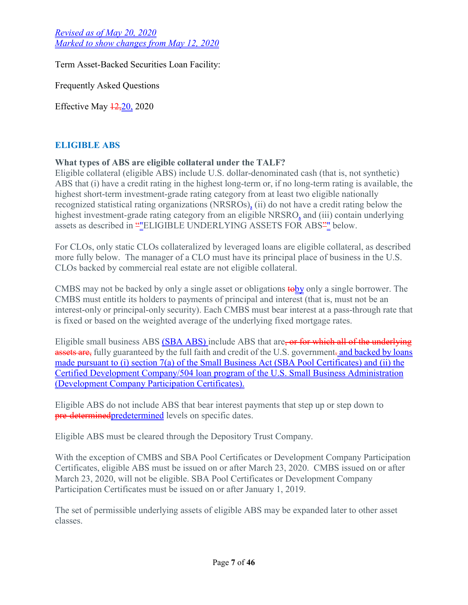Term Asset-Backed Securities Loan Facility:

Frequently Asked Questions

Effective May  $\frac{12,20}{2020}$ 

## **ELIGIBLE ABS**

## **What types of ABS are eligible collateral under the TALF?**

Eligible collateral (eligible ABS) include U.S. dollar-denominated cash (that is, not synthetic) ABS that (i) have a credit rating in the highest long-term or, if no long-term rating is available, the highest short-term investment-grade rating category from at least two eligible nationally recognized statistical rating organizations (NRSROs), (ii) do not have a credit rating below the highest investment-grade rating category from an eligible NRSRO, and (iii) contain underlying assets as described in  $H_E^{\text{L}}E_L$  and  $H_E^{\text{L}}E_L$  and  $H_E^{\text{L}}E_L$  and  $H_E^{\text{L}}E_L$  and  $H_E^{\text{L}}E_L$  below.

For CLOs, only static CLOs collateralized by leveraged loans are eligible collateral, as described more fully below. The manager of a CLO must have its principal place of business in the U.S. CLOs backed by commercial real estate are not eligible collateral.

CMBS may not be backed by only a single asset or obligations **tooly** only a single borrower. The CMBS must entitle its holders to payments of principal and interest (that is, must not be an interest-only or principal-only security). Each CMBS must bear interest at a pass-through rate that is fixed or based on the weighted average of the underlying fixed mortgage rates.

Eligible small business ABS (SBA ABS) include ABS that are, or for which all of the underlying assets are, fully guaranteed by the full faith and credit of the U.S. government-and backed by loans made pursuant to (i) section 7(a) of the Small Business Act (SBA Pool Certificates) and (ii) the Certified Development Company/504 loan program of the U.S. Small Business Administration (Development Company Participation Certificates).

Eligible ABS do not include ABS that bear interest payments that step up or step down to pre-determined predetermined levels on specific dates.

Eligible ABS must be cleared through the Depository Trust Company.

With the exception of CMBS and SBA Pool Certificates or Development Company Participation Certificates, eligible ABS must be issued on or after March 23, 2020. CMBS issued on or after March 23, 2020, will not be eligible. SBA Pool Certificates or Development Company Participation Certificates must be issued on or after January 1, 2019.

The set of permissible underlying assets of eligible ABS may be expanded later to other asset classes.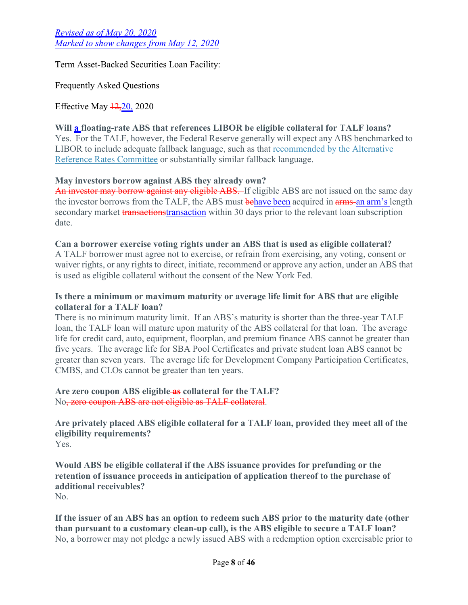Term Asset-Backed Securities Loan Facility:

Frequently Asked Questions

Effective May  $\frac{12,20}{2020}$ 

### **Will a floating-rate ABS that references LIBOR be eligible collateral for TALF loans?**

Yes. For the TALF, however, the Federal Reserve generally will expect any ABS benchmarked to [LIBOR to include adequate fallback language, such as that recommended by the Alternative](https://newyorkfedpublicsitescm.ws.frb.org/arrc/fallbacks-contract-language)  Reference Rates Committee or substantially similar fallback language.

#### **May investors borrow against ABS they already own?**

An investor may borrow against any eligible ABS. If eligible ABS are not issued on the same day the investor borrows from the TALF, the ABS must **behave been** acquired in **arms-an arm's** length secondary market transactionstransaction within 30 days prior to the relevant loan subscription date.

#### **Can a borrower exercise voting rights under an ABS that is used as eligible collateral?**

A TALF borrower must agree not to exercise, or refrain from exercising, any voting, consent or waiver rights, or any rights to direct, initiate, recommend or approve any action, under an ABS that is used as eligible collateral without the consent of the New York Fed.

#### **Is there a minimum or maximum maturity or average life limit for ABS that are eligible collateral for a TALF loan?**

There is no minimum maturity limit. If an ABS's maturity is shorter than the three-year TALF loan, the TALF loan will mature upon maturity of the ABS collateral for that loan. The average life for credit card, auto, equipment, floorplan, and premium finance ABS cannot be greater than five years. The average life for SBA Pool Certificates and private student loan ABS cannot be greater than seven years. The average life for Development Company Participation Certificates, CMBS, and CLOs cannot be greater than ten years.

#### **Are zero coupon ABS eligible as collateral for the TALF?** No, zero coupon ABS are not eligible as TALF collateral.

**Are privately placed ABS eligible collateral for a TALF loan, provided they meet all of the eligibility requirements?**  Yes.

**Would ABS be eligible collateral if the ABS issuance provides for prefunding or the retention of issuance proceeds in anticipation of application thereof to the purchase of additional receivables?** No.

**If the issuer of an ABS has an option to redeem such ABS prior to the maturity date (other than pursuant to a customary clean-up call), is the ABS eligible to secure a TALF loan?**  No, a borrower may not pledge a newly issued ABS with a redemption option exercisable prior to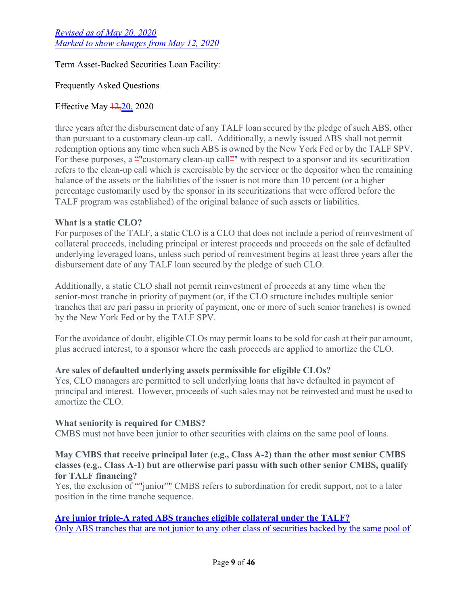Term Asset-Backed Securities Loan Facility:

Frequently Asked Questions

## Effective May  $\frac{12,20}{2020}$

three years after the disbursement date of any TALF loan secured by the pledge of such ABS, other than pursuant to a customary clean-up call. Additionally, a newly issued ABS shall not permit redemption options any time when such ABS is owned by the New York Fed or by the TALF SPV. For these purposes, a "veustomary clean-up call" with respect to a sponsor and its securitization refers to the clean-up call which is exercisable by the servicer or the depositor when the remaining balance of the assets or the liabilities of the issuer is not more than 10 percent (or a higher percentage customarily used by the sponsor in its securitizations that were offered before the TALF program was established) of the original balance of such assets or liabilities.

## **What is a static CLO?**

For purposes of the TALF, a static CLO is a CLO that does not include a period of reinvestment of collateral proceeds, including principal or interest proceeds and proceeds on the sale of defaulted underlying leveraged loans, unless such period of reinvestment begins at least three years after the disbursement date of any TALF loan secured by the pledge of such CLO.

Additionally, a static CLO shall not permit reinvestment of proceeds at any time when the senior-most tranche in priority of payment (or, if the CLO structure includes multiple senior tranches that are pari passu in priority of payment, one or more of such senior tranches) is owned by the New York Fed or by the TALF SPV.

For the avoidance of doubt, eligible CLOs may permit loans to be sold for cash at their par amount, plus accrued interest, to a sponsor where the cash proceeds are applied to amortize the CLO.

## **Are sales of defaulted underlying assets permissible for eligible CLOs?**

Yes, CLO managers are permitted to sell underlying loans that have defaulted in payment of principal and interest. However, proceeds of such sales may not be reinvested and must be used to amortize the CLO.

#### **What seniority is required for CMBS?**

CMBS must not have been junior to other securities with claims on the same pool of loans.

### **May CMBS that receive principal later (e.g., Class A-2) than the other most senior CMBS classes (e.g., Class A-1) but are otherwise pari passu with such other senior CMBS, qualify for TALF financing?**

Yes, the exclusion of ""junior" CMBS refers to subordination for credit support, not to a later position in the time tranche sequence.

## **Are junior triple-A rated ABS tranches eligible collateral under the TALF?**

Only ABS tranches that are not junior to any other class of securities backed by the same pool of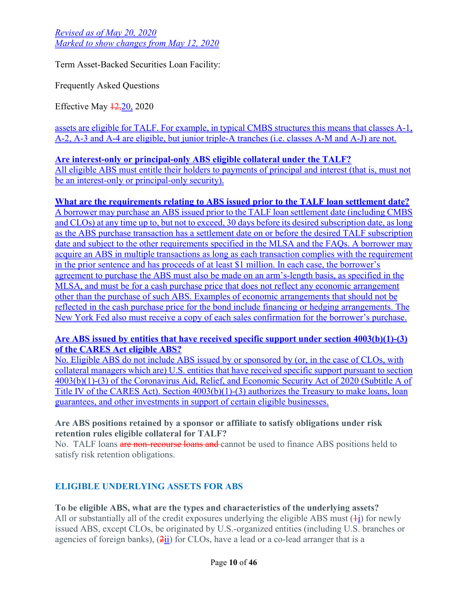Term Asset-Backed Securities Loan Facility:

Frequently Asked Questions

Effective May  $\frac{12,20}{20,2020}$ 

assets are eligible for TALF. For example, in typical CMBS structures this means that classes A-1, A-2, A-3 and A-4 are eligible, but junior triple-A tranches (i.e. classes A-M and A-J) are not.

#### **Are interest-only or principal-only ABS eligible collateral under the TALF?** All eligible ABS must entitle their holders to payments of principal and interest (that is, must not

be an interest-only or principal-only security).

## **What are the requirements relating to ABS issued prior to the TALF loan settlement date?**

A borrower may purchase an ABS issued prior to the TALF loan settlement date (including CMBS and CLOs) at any time up to, but not to exceed, 30 days before its desired subscription date, as long as the ABS purchase transaction has a settlement date on or before the desired TALF subscription date and subject to the other requirements specified in the MLSA and the FAQs. A borrower may acquire an ABS in multiple transactions as long as each transaction complies with the requirement in the prior sentence and has proceeds of at least \$1 million. In each case, the borrower's agreement to purchase the ABS must also be made on an arm's-length basis, as specified in the MLSA, and must be for a cash purchase price that does not reflect any economic arrangement other than the purchase of such ABS. Examples of economic arrangements that should not be reflected in the cash purchase price for the bond include financing or hedging arrangements. The New York Fed also must receive a copy of each sales confirmation for the borrower's purchase.

## **Are ABS issued by entities that have received specific support under section 4003(b)(1)-(3) of the CARES Act eligible ABS?**

No. Eligible ABS do not include ABS issued by or sponsored by (or, in the case of CLOs, with collateral managers which are) U.S. entities that have received specific support pursuant to section 4003(b)(1)-(3) of the Coronavirus Aid, Relief, and Economic Security Act of 2020 (Subtitle A of Title IV of the CARES Act). Section 4003(b)(1)-(3) authorizes the Treasury to make loans, loan guarantees, and other investments in support of certain eligible businesses.

## **Are ABS positions retained by a sponsor or affiliate to satisfy obligations under risk retention rules eligible collateral for TALF?**

No. TALF loans are non-recourse loans and cannot be used to finance ABS positions held to satisfy risk retention obligations.

# **ELIGIBLE UNDERLYING ASSETS FOR ABS**

# **To be eligible ABS, what are the types and characteristics of the underlying assets?**

All or substantially all of the credit exposures underlying the eligible ABS must  $(1)$  for newly issued ABS, except CLOs, be originated by U.S.-organized entities (including U.S. branches or agencies of foreign banks),  $(2ii)$  for CLOs, have a lead or a co-lead arranger that is a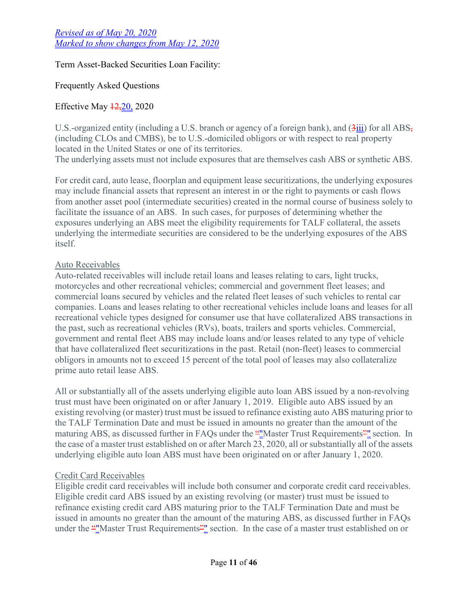Term Asset-Backed Securities Loan Facility:

## Frequently Asked Questions

## Effective May  $\frac{12,20}{2020}$

U.S.-organized entity (including a U.S. branch or agency of a foreign bank), and  $(3\frac{1}{11})$  for all ABS, (including CLOs and CMBS), be to U.S.-domiciled obligors or with respect to real property located in the United States or one of its territories. The underlying assets must not include exposures that are themselves cash ABS or synthetic ABS.

For credit card, auto lease, floorplan and equipment lease securitizations, the underlying exposures may include financial assets that represent an interest in or the right to payments or cash flows from another asset pool (intermediate securities) created in the normal course of business solely to facilitate the issuance of an ABS. In such cases, for purposes of determining whether the exposures underlying an ABS meet the eligibility requirements for TALF collateral, the assets underlying the intermediate securities are considered to be the underlying exposures of the ABS itself.

## Auto Receivables

Auto-related receivables will include retail loans and leases relating to cars, light trucks, motorcycles and other recreational vehicles; commercial and government fleet leases; and commercial loans secured by vehicles and the related fleet leases of such vehicles to rental car companies. Loans and leases relating to other recreational vehicles include loans and leases for all recreational vehicle types designed for consumer use that have collateralized ABS transactions in the past, such as recreational vehicles (RVs), boats, trailers and sports vehicles. Commercial, government and rental fleet ABS may include loans and/or leases related to any type of vehicle that have collateralized fleet securitizations in the past. Retail (non-fleet) leases to commercial obligors in amounts not to exceed 15 percent of the total pool of leases may also collateralize prime auto retail lease ABS.

All or substantially all of the assets underlying eligible auto loan ABS issued by a non-revolving trust must have been originated on or after January 1, 2019. Eligible auto ABS issued by an existing revolving (or master) trust must be issued to refinance existing auto ABS maturing prior to the TALF Termination Date and must be issued in amounts no greater than the amount of the maturing ABS, as discussed further in FAQs under the ""Master Trust Requirements"" section. In the case of a master trust established on or after March 23, 2020, all or substantially all of the assets underlying eligible auto loan ABS must have been originated on or after January 1, 2020.

## Credit Card Receivables

Eligible credit card receivables will include both consumer and corporate credit card receivables. Eligible credit card ABS issued by an existing revolving (or master) trust must be issued to refinance existing credit card ABS maturing prior to the TALF Termination Date and must be issued in amounts no greater than the amount of the maturing ABS, as discussed further in FAQs under the "*Master Trust Requirements*" section. In the case of a master trust established on or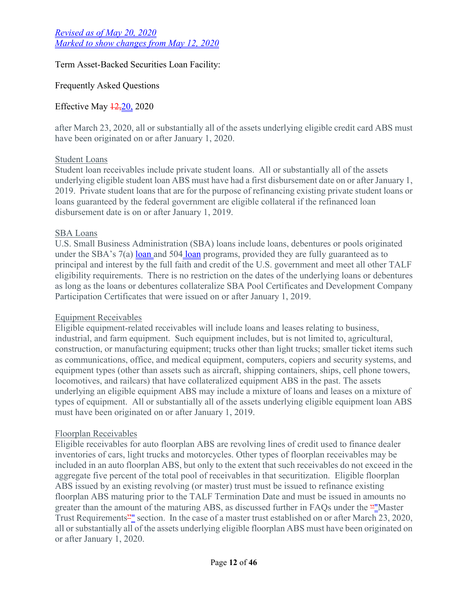## Term Asset-Backed Securities Loan Facility:

## Frequently Asked Questions

## Effective May  $\frac{12,20}{2020}$

after March 23, 2020, all or substantially all of the assets underlying eligible credit card ABS must have been originated on or after January 1, 2020.

## Student Loans

Student loan receivables include private student loans. All or substantially all of the assets underlying eligible student loan ABS must have had a first disbursement date on or after January 1, 2019. Private student loans that are for the purpose of refinancing existing private student loans or loans guaranteed by the federal government are eligible collateral if the refinanced loan disbursement date is on or after January 1, 2019.

### SBA Loans

U.S. Small Business Administration (SBA) loans include loans, debentures or pools originated under the SBA's  $7(a)$  loan and 504 loan programs, provided they are fully guaranteed as to principal and interest by the full faith and credit of the U.S. government and meet all other TALF eligibility requirements. There is no restriction on the dates of the underlying loans or debentures as long as the loans or debentures collateralize SBA Pool Certificates and Development Company Participation Certificates that were issued on or after January 1, 2019.

## Equipment Receivables

Eligible equipment-related receivables will include loans and leases relating to business, industrial, and farm equipment. Such equipment includes, but is not limited to, agricultural, construction, or manufacturing equipment; trucks other than light trucks; smaller ticket items such as communications, office, and medical equipment, computers, copiers and security systems, and equipment types (other than assets such as aircraft, shipping containers, ships, cell phone towers, locomotives, and railcars) that have collateralized equipment ABS in the past. The assets underlying an eligible equipment ABS may include a mixture of loans and leases on a mixture of types of equipment. All or substantially all of the assets underlying eligible equipment loan ABS must have been originated on or after January 1, 2019.

## Floorplan Receivables

Eligible receivables for auto floorplan ABS are revolving lines of credit used to finance dealer inventories of cars, light trucks and motorcycles. Other types of floorplan receivables may be included in an auto floorplan ABS, but only to the extent that such receivables do not exceed in the aggregate five percent of the total pool of receivables in that securitization. Eligible floorplan ABS issued by an existing revolving (or master) trust must be issued to refinance existing floorplan ABS maturing prior to the TALF Termination Date and must be issued in amounts no greater than the amount of the maturing ABS, as discussed further in FAQs under the ""Master Trust Requirements<sup>21</sup> section. In the case of a master trust established on or after March 23, 2020, all or substantially all of the assets underlying eligible floorplan ABS must have been originated on or after January 1, 2020.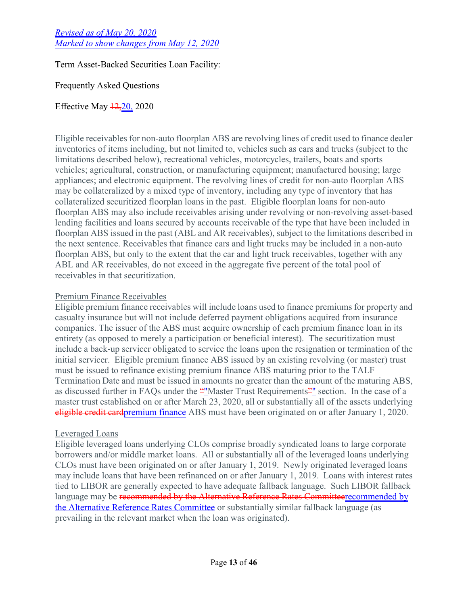Term Asset-Backed Securities Loan Facility:

Frequently Asked Questions

Effective May  $\frac{12,20}{2020}$ 

Eligible receivables for non-auto floorplan ABS are revolving lines of credit used to finance dealer inventories of items including, but not limited to, vehicles such as cars and trucks (subject to the limitations described below), recreational vehicles, motorcycles, trailers, boats and sports vehicles; agricultural, construction, or manufacturing equipment; manufactured housing; large appliances; and electronic equipment. The revolving lines of credit for non-auto floorplan ABS may be collateralized by a mixed type of inventory, including any type of inventory that has collateralized securitized floorplan loans in the past. Eligible floorplan loans for non-auto floorplan ABS may also include receivables arising under revolving or non-revolving asset-based lending facilities and loans secured by accounts receivable of the type that have been included in floorplan ABS issued in the past (ABL and AR receivables), subject to the limitations described in the next sentence. Receivables that finance cars and light trucks may be included in a non-auto floorplan ABS, but only to the extent that the car and light truck receivables, together with any ABL and AR receivables, do not exceed in the aggregate five percent of the total pool of receivables in that securitization.

## Premium Finance Receivables

Eligible premium finance receivables will include loans used to finance premiums for property and casualty insurance but will not include deferred payment obligations acquired from insurance companies. The issuer of the ABS must acquire ownership of each premium finance loan in its entirety (as opposed to merely a participation or beneficial interest). The securitization must include a back-up servicer obligated to service the loans upon the resignation or termination of the initial servicer. Eligible premium finance ABS issued by an existing revolving (or master) trust must be issued to refinance existing premium finance ABS maturing prior to the TALF Termination Date and must be issued in amounts no greater than the amount of the maturing ABS, as discussed further in FAQs under the ""Master Trust Requirements"" section. In the case of a master trust established on or after March 23, 2020, all or substantially all of the assets underlying eligible credit cardpremium finance ABS must have been originated on or after January 1, 2020.

## Leveraged Loans

Eligible leveraged loans underlying CLOs comprise broadly syndicated loans to large corporate borrowers and/or middle market loans. All or substantially all of the leveraged loans underlying CLOs must have been originated on or after January 1, 2019. Newly originated leveraged loans may include loans that have been refinanced on or after January 1, 2019. Loans with interest rates tied to LIBOR are generally expected to have adequate fallback language. Such LIBOR fallback language may be recommended by the Alternative Reference Rates Committeerecommended by the Alternative Reference Rates Committee or substantially similar fallback language (as prevailing in the relevant market when the loan was originated).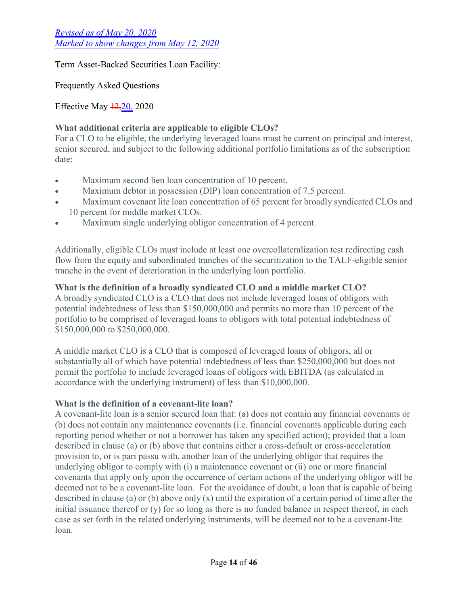Term Asset-Backed Securities Loan Facility:

Frequently Asked Questions

Effective May  $\frac{12,20}{2020}$ 

# **What additional criteria are applicable to eligible CLOs?**

For a CLO to be eligible, the underlying leveraged loans must be current on principal and interest, senior secured, and subject to the following additional portfolio limitations as of the subscription date:

- Maximum second lien loan concentration of 10 percent.
- Maximum debtor in possession (DIP) loan concentration of 7.5 percent.
- Maximum covenant lite loan concentration of 65 percent for broadly syndicated CLOs and 10 percent for middle market CLOs.
- Maximum single underlying obligor concentration of 4 percent.

Additionally, eligible CLOs must include at least one overcollateralization test redirecting cash flow from the equity and subordinated tranches of the securitization to the TALF-eligible senior tranche in the event of deterioration in the underlying loan portfolio.

## **What is the definition of a broadly syndicated CLO and a middle market CLO?**

A broadly syndicated CLO is a CLO that does not include leveraged loans of obligors with potential indebtedness of less than \$150,000,000 and permits no more than 10 percent of the portfolio to be comprised of leveraged loans to obligors with total potential indebtedness of \$150,000,000 to \$250,000,000.

A middle market CLO is a CLO that is composed of leveraged loans of obligors, all or substantially all of which have potential indebtedness of less than \$250,000,000 but does not permit the portfolio to include leveraged loans of obligors with EBITDA (as calculated in accordance with the underlying instrument) of less than \$10,000,000.

## **What is the definition of a covenant-lite loan?**

A covenant-lite loan is a senior secured loan that: (a) does not contain any financial covenants or (b) does not contain any maintenance covenants (i.e. financial covenants applicable during each reporting period whether or not a borrower has taken any specified action); provided that a loan described in clause (a) or (b) above that contains either a cross-default or cross-acceleration provision to, or is pari passu with, another loan of the underlying obligor that requires the underlying obligor to comply with (i) a maintenance covenant or (ii) one or more financial covenants that apply only upon the occurrence of certain actions of the underlying obligor will be deemed not to be a covenant-lite loan. For the avoidance of doubt, a loan that is capable of being described in clause (a) or (b) above only (x) until the expiration of a certain period of time after the initial issuance thereof or (y) for so long as there is no funded balance in respect thereof, in each case as set forth in the related underlying instruments, will be deemed not to be a covenant-lite loan.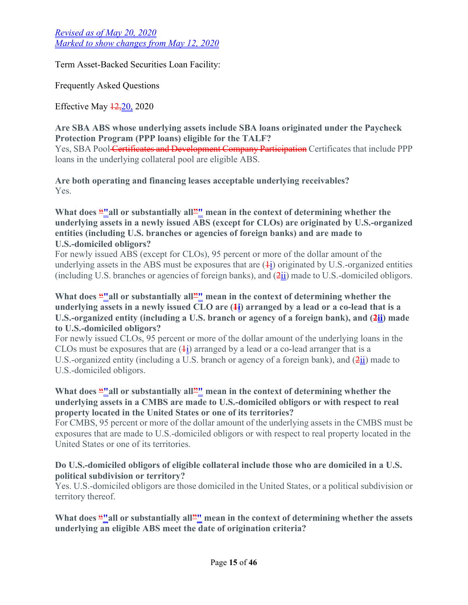Term Asset-Backed Securities Loan Facility:

Frequently Asked Questions

Effective May  $\frac{12,20}{20,2020}$ 

**Are SBA ABS whose underlying assets include SBA loans originated under the Paycheck Protection Program (PPP loans) eligible for the TALF?** Yes, SBA Pool Certificates and Development Company Participation Certificates that include PPP loans in the underlying collateral pool are eligible ABS.

**Are both operating and financing leases acceptable underlying receivables?** Yes.

### What does "<u></u>all or substantially all" mean in the context of determining whether the **underlying assets in a newly issued ABS (except for CLOs) are originated by U.S.-organized entities (including U.S. branches or agencies of foreign banks) and are made to U.S.-domiciled obligors?**

For newly issued ABS (except for CLOs), 95 percent or more of the dollar amount of the underlying assets in the ABS must be exposures that are  $(\frac{1}{1})$  originated by U.S.-organized entities (including U.S. branches or agencies of foreign banks), and  $(2ii)$  made to U.S.-domiciled obligors.

## What does <u>"</u>"all or substantially all<sup>2</sup>" mean in the context of determining whether the **underlying assets in a newly issued CLO are (1i) arranged by a lead or a co-lead that is a**  U.S.-organized entity (including a U.S. branch or agency of a foreign bank), and  $(2ii)$  made **to U.S.-domiciled obligors?**

For newly issued CLOs, 95 percent or more of the dollar amount of the underlying loans in the CLOs must be exposures that are  $(\frac{1}{1})$  arranged by a lead or a co-lead arranger that is a U.S.-organized entity (including a U.S. branch or agency of a foreign bank), and (2ii) made to U.S.-domiciled obligors.

## What does "I all or substantially all<sup>2"</sup> mean in the context of determining whether the **underlying assets in a CMBS are made to U.S.-domiciled obligors or with respect to real property located in the United States or one of its territories?**

For CMBS, 95 percent or more of the dollar amount of the underlying assets in the CMBS must be exposures that are made to U.S.-domiciled obligors or with respect to real property located in the United States or one of its territories.

## **Do U.S.-domiciled obligors of eligible collateral include those who are domiciled in a U.S. political subdivision or territory?**

Yes. U.S.-domiciled obligors are those domiciled in the United States, or a political subdivision or territory thereof.

What does <u>"all</u> or substantially all<sup>2</sup>" mean in the context of determining whether the assets **underlying an eligible ABS meet the date of origination criteria?**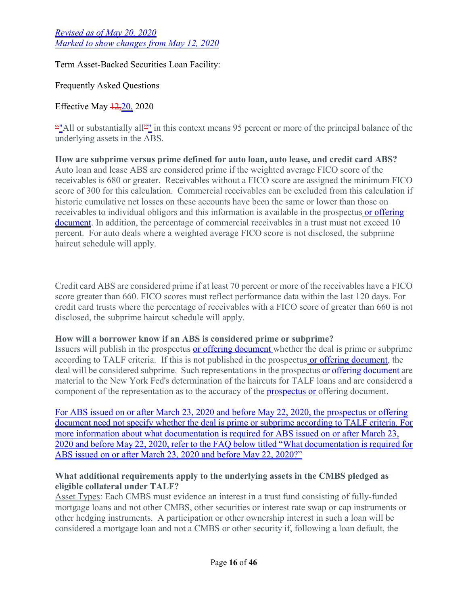Term Asset-Backed Securities Loan Facility:

Frequently Asked Questions

Effective May  $\frac{12,20}{2020}$ 

""All or substantially all"" in this context means 95 percent or more of the principal balance of the underlying assets in the ABS.

**How are subprime versus prime defined for auto loan, auto lease, and credit card ABS?** Auto loan and lease ABS are considered prime if the weighted average FICO score of the receivables is 680 or greater. Receivables without a FICO score are assigned the minimum FICO score of 300 for this calculation. Commercial receivables can be excluded from this calculation if historic cumulative net losses on these accounts have been the same or lower than those on receivables to individual obligors and this information is available in the prospectus or offering document. In addition, the percentage of commercial receivables in a trust must not exceed 10 percent. For auto deals where a weighted average FICO score is not disclosed, the subprime haircut schedule will apply.

Credit card ABS are considered prime if at least 70 percent or more of the receivables have a FICO score greater than 660. FICO scores must reflect performance data within the last 120 days. For credit card trusts where the percentage of receivables with a FICO score of greater than 660 is not disclosed, the subprime haircut schedule will apply.

## **How will a borrower know if an ABS is considered prime or subprime?**

Issuers will publish in the prospectus or offering document whether the deal is prime or subprime according to TALF criteria. If this is not published in the prospectus or offering document, the deal will be considered subprime. Such representations in the prospectus or offering document are material to the New York Fed's determination of the haircuts for TALF loans and are considered a component of the representation as to the accuracy of the prospectus or offering document.

For ABS issued on or after March 23, 2020 and before May 22, 2020, the prospectus or offering document need not specify whether the deal is prime or subprime according to TALF criteria. For more information about what documentation is required for ABS issued on or after March 23, 2020 and before May 22, 2020, refer to the FAQ below titled "What documentation is required for ABS issued on or after March 23, 2020 and before May 22, 2020?"

## **What additional requirements apply to the underlying assets in the CMBS pledged as eligible collateral under TALF?**

Asset Types: Each CMBS must evidence an interest in a trust fund consisting of fully-funded mortgage loans and not other CMBS, other securities or interest rate swap or cap instruments or other hedging instruments. A participation or other ownership interest in such a loan will be considered a mortgage loan and not a CMBS or other security if, following a loan default, the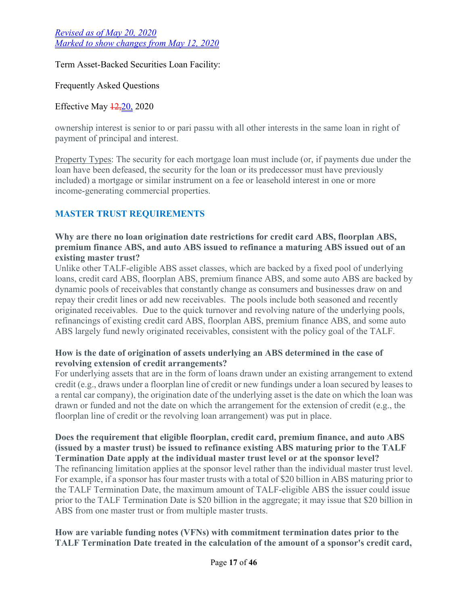Term Asset-Backed Securities Loan Facility:

Frequently Asked Questions

Effective May  $\frac{12,20}{2020}$ 

ownership interest is senior to or pari passu with all other interests in the same loan in right of payment of principal and interest.

Property Types: The security for each mortgage loan must include (or, if payments due under the loan have been defeased, the security for the loan or its predecessor must have previously included) a mortgage or similar instrument on a fee or leasehold interest in one or more income-generating commercial properties.

# **MASTER TRUST REQUIREMENTS**

## **Why are there no loan origination date restrictions for credit card ABS, floorplan ABS, premium finance ABS, and auto ABS issued to refinance a maturing ABS issued out of an existing master trust?**

Unlike other TALF-eligible ABS asset classes, which are backed by a fixed pool of underlying loans, credit card ABS, floorplan ABS, premium finance ABS, and some auto ABS are backed by dynamic pools of receivables that constantly change as consumers and businesses draw on and repay their credit lines or add new receivables. The pools include both seasoned and recently originated receivables. Due to the quick turnover and revolving nature of the underlying pools, refinancings of existing credit card ABS, floorplan ABS, premium finance ABS, and some auto ABS largely fund newly originated receivables, consistent with the policy goal of the TALF.

## **How is the date of origination of assets underlying an ABS determined in the case of revolving extension of credit arrangements?**

For underlying assets that are in the form of loans drawn under an existing arrangement to extend credit (e.g., draws under a floorplan line of credit or new fundings under a loan secured by leases to a rental car company), the origination date of the underlying asset is the date on which the loan was drawn or funded and not the date on which the arrangement for the extension of credit (e.g., the floorplan line of credit or the revolving loan arrangement) was put in place.

### **Does the requirement that eligible floorplan, credit card, premium finance, and auto ABS (issued by a master trust) be issued to refinance existing ABS maturing prior to the TALF Termination Date apply at the individual master trust level or at the sponsor level?** The refinancing limitation applies at the sponsor level rather than the individual master trust level. For example, if a sponsor has four master trusts with a total of \$20 billion in ABS maturing prior to the TALF Termination Date, the maximum amount of TALF-eligible ABS the issuer could issue prior to the TALF Termination Date is \$20 billion in the aggregate; it may issue that \$20 billion in ABS from one master trust or from multiple master trusts.

# **How are variable funding notes (VFNs) with commitment termination dates prior to the TALF Termination Date treated in the calculation of the amount of a sponsor's credit card,**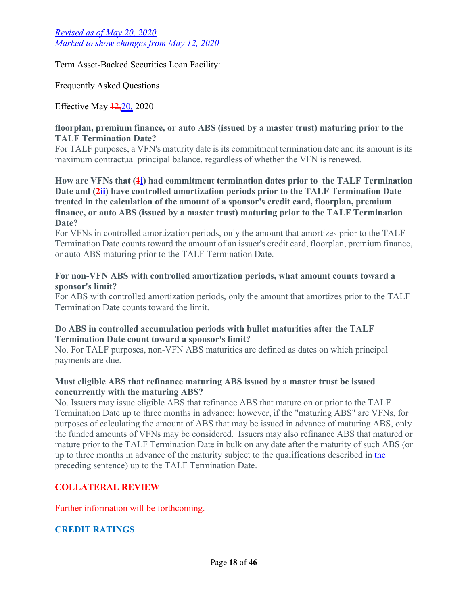Term Asset-Backed Securities Loan Facility:

Frequently Asked Questions

Effective May  $\frac{12,20}{2020}$ 

#### **floorplan, premium finance, or auto ABS (issued by a master trust) maturing prior to the TALF Termination Date?**

For TALF purposes, a VFN's maturity date is its commitment termination date and its amount is its maximum contractual principal balance, regardless of whether the VFN is renewed.

**How are VFNs that (1i) had commitment termination dates prior to the TALF Termination**  Date and  $(2ii)$  have controlled amortization periods prior to the TALF Termination Date **treated in the calculation of the amount of a sponsor's credit card, floorplan, premium finance, or auto ABS (issued by a master trust) maturing prior to the TALF Termination Date?**

For VFNs in controlled amortization periods, only the amount that amortizes prior to the TALF Termination Date counts toward the amount of an issuer's credit card, floorplan, premium finance, or auto ABS maturing prior to the TALF Termination Date.

#### **For non-VFN ABS with controlled amortization periods, what amount counts toward a sponsor's limit?**

For ABS with controlled amortization periods, only the amount that amortizes prior to the TALF Termination Date counts toward the limit.

### **Do ABS in controlled accumulation periods with bullet maturities after the TALF Termination Date count toward a sponsor's limit?**

No. For TALF purposes, non-VFN ABS maturities are defined as dates on which principal payments are due.

## **Must eligible ABS that refinance maturing ABS issued by a master trust be issued concurrently with the maturing ABS?**

No. Issuers may issue eligible ABS that refinance ABS that mature on or prior to the TALF Termination Date up to three months in advance; however, if the "maturing ABS" are VFNs, for purposes of calculating the amount of ABS that may be issued in advance of maturing ABS, only the funded amounts of VFNs may be considered. Issuers may also refinance ABS that matured or mature prior to the TALF Termination Date in bulk on any date after the maturity of such ABS (or up to three months in advance of the maturity subject to the qualifications described in the preceding sentence) up to the TALF Termination Date.

# **COLLATERAL REVIEW**

Further information will be forthcoming.

## **CREDIT RATINGS**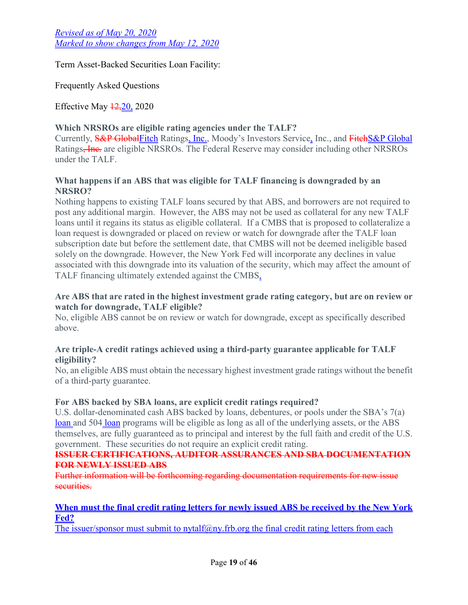Term Asset-Backed Securities Loan Facility:

Frequently Asked Questions

Effective May  $\frac{12,20}{2020}$ 

## **Which NRSROs are eligible rating agencies under the TALF?**

Currently, S&P GlobalFitch Ratings, Inc., Moody's Investors Service, Inc., and FitchS&P Global Ratings<del>, Inc.</del> are eligible NRSROs. The Federal Reserve may consider including other NRSROs under the TALF.

## **What happens if an ABS that was eligible for TALF financing is downgraded by an NRSRO?**

Nothing happens to existing TALF loans secured by that ABS, and borrowers are not required to post any additional margin. However, the ABS may not be used as collateral for any new TALF loans until it regains its status as eligible collateral. If a CMBS that is proposed to collateralize a loan request is downgraded or placed on review or watch for downgrade after the TALF loan subscription date but before the settlement date, that CMBS will not be deemed ineligible based solely on the downgrade. However, the New York Fed will incorporate any declines in value associated with this downgrade into its valuation of the security, which may affect the amount of TALF financing ultimately extended against the CMBS.

## **Are ABS that are rated in the highest investment grade rating category, but are on review or watch for downgrade, TALF eligible?**

No, eligible ABS cannot be on review or watch for downgrade, except as specifically described above.

## **Are triple-A credit ratings achieved using a third-party guarantee applicable for TALF eligibility?**

No, an eligible ABS must obtain the necessary highest investment grade ratings without the benefit of a third-party guarantee.

## **For ABS backed by SBA loans, are explicit credit ratings required?**

U.S. dollar-denominated cash ABS backed by loans, debentures, or pools under the SBA's 7(a) loan and 504 loan programs will be eligible as long as all of the underlying assets, or the ABS themselves, are fully guaranteed as to principal and interest by the full faith and credit of the U.S. government. These securities do not require an explicit credit rating.

#### **ISSUER CERTIFICATIONS, AUDITOR ASSURANCES AND SBA DOCUMENTATION FOR NEWLY ISSUED ABS**

Further information will be forthcoming regarding documentation requirements for new issue securities.

## **When must the final credit rating letters for newly issued ABS be received by the New York Fed?**

The issuer/sponsor must submit to nytalf $(\partial_n \eta)$ . frb.org the final credit rating letters from each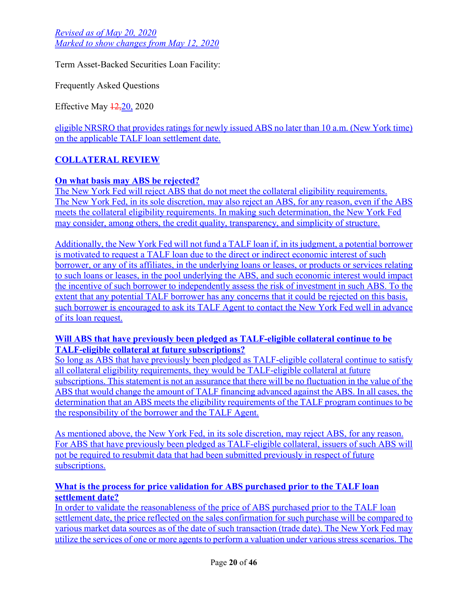Term Asset-Backed Securities Loan Facility:

Frequently Asked Questions

Effective May 12,20, 2020

eligible NRSRO that provides ratings for newly issued ABS no later than 10 a.m. (New York time) on the applicable TALF loan settlement date.

# **COLLATERAL REVIEW**

## **On what basis may ABS be rejected?**

The New York Fed will reject ABS that do not meet the collateral eligibility requirements. The New York Fed, in its sole discretion, may also reject an ABS, for any reason, even if the ABS meets the collateral eligibility requirements. In making such determination, the New York Fed may consider, among others, the credit quality, transparency, and simplicity of structure.

Additionally, the New York Fed will not fund a TALF loan if, in its judgment, a potential borrower is motivated to request a TALF loan due to the direct or indirect economic interest of such borrower, or any of its affiliates, in the underlying loans or leases, or products or services relating to such loans or leases, in the pool underlying the ABS, and such economic interest would impact the incentive of such borrower to independently assess the risk of investment in such ABS. To the extent that any potential TALF borrower has any concerns that it could be rejected on this basis, such borrower is encouraged to ask its TALF Agent to contact the New York Fed well in advance of its loan request.

### **Will ABS that have previously been pledged as TALF-eligible collateral continue to be TALF-eligible collateral at future subscriptions?**

So long as ABS that have previously been pledged as TALF-eligible collateral continue to satisfy all collateral eligibility requirements, they would be TALF-eligible collateral at future subscriptions. This statement is not an assurance that there will be no fluctuation in the value of the ABS that would change the amount of TALF financing advanced against the ABS. In all cases, the determination that an ABS meets the eligibility requirements of the TALF program continues to be the responsibility of the borrower and the TALF Agent.

As mentioned above, the New York Fed, in its sole discretion, may reject ABS, for any reason. For ABS that have previously been pledged as TALF-eligible collateral, issuers of such ABS will not be required to resubmit data that had been submitted previously in respect of future subscriptions.

## **What is the process for price validation for ABS purchased prior to the TALF loan settlement date?**

In order to validate the reasonableness of the price of ABS purchased prior to the TALF loan settlement date, the price reflected on the sales confirmation for such purchase will be compared to various market data sources as of the date of such transaction (trade date). The New York Fed may utilize the services of one or more agents to perform a valuation under various stress scenarios. The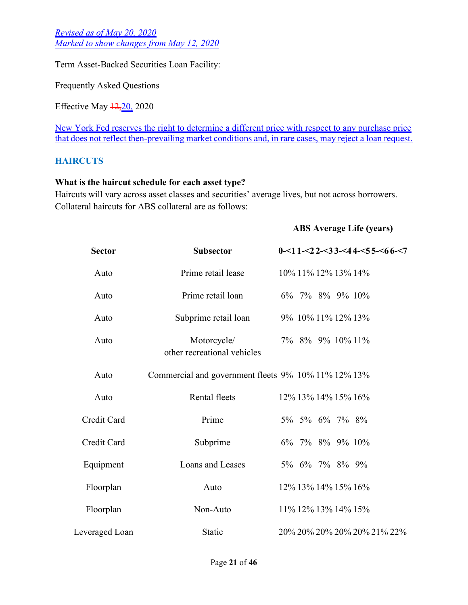Term Asset-Backed Securities Loan Facility:

Frequently Asked Questions

Effective May  $\frac{12,20}{2020}$ 

New York Fed reserves the right to determine a different price with respect to any purchase price that does not reflect then-prevailing market conditions and, in rare cases, may reject a loan request.

#### **HAIRCUTS**

#### **What is the haircut schedule for each asset type?**

Haircuts will vary across asset classes and securities' average lives, but not across borrowers. Collateral haircuts for ABS collateral are as follows:

#### **ABS Average Life (years)**

| <b>Sector</b>  | <b>Subsector</b>                                    | $0 - 11 - 22 - 33 - 44 - 55 - 66 - 7$ |  |  |  |  |
|----------------|-----------------------------------------------------|---------------------------------------|--|--|--|--|
| Auto           | Prime retail lease                                  | 10% 11% 12% 13% 14%                   |  |  |  |  |
| Auto           | Prime retail loan                                   | 6% 7% 8% 9% 10%                       |  |  |  |  |
| Auto           | Subprime retail loan                                | 9% 10% 11% 12% 13%                    |  |  |  |  |
| Auto           | Motorcycle/<br>other recreational vehicles          | 7% 8% 9% 10% 11%                      |  |  |  |  |
| Auto           | Commercial and government fleets 9% 10% 11% 12% 13% |                                       |  |  |  |  |
| Auto           | Rental fleets                                       | 12\% 13\% 14\% 15\% 16\%              |  |  |  |  |
| Credit Card    | Prime                                               | 5% 5% 6% 7% 8%                        |  |  |  |  |
| Credit Card    | Subprime                                            | 6% 7% 8% 9% 10%                       |  |  |  |  |
| Equipment      | Loans and Leases                                    | 5% 6% 7% 8% 9%                        |  |  |  |  |
| Floorplan      | Auto                                                | 12\% 13\% 14\% 15\% 16\%              |  |  |  |  |
| Floorplan      | Non-Auto                                            | 11% 12% 13% 14% 15%                   |  |  |  |  |
| Leveraged Loan | Static                                              | 20% 20% 20% 20% 20% 21% 22%           |  |  |  |  |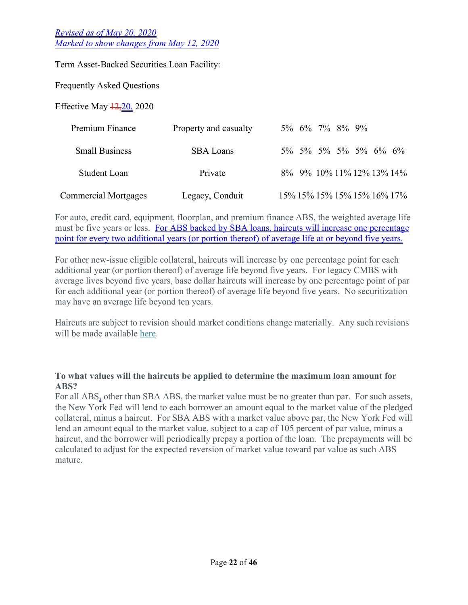Term Asset-Backed Securities Loan Facility:

Frequently Asked Questions

Effective May  $\frac{12,20}{2020}$ 

| Premium Finance             | Property and casualty |  | 5% 6% 7% 8% 9%                   |  |  |
|-----------------------------|-----------------------|--|----------------------------------|--|--|
| <b>Small Business</b>       | <b>SBA Loans</b>      |  | $5\%$ 5% 5% 5% 5% 6% 6%          |  |  |
| Student Loan                | Private               |  | 8\% 9\% 10\% 11\% 12\% 13\% 14\% |  |  |
| <b>Commercial Mortgages</b> | Legacy, Conduit       |  | 15% 15% 15% 15% 15% 16% 17%      |  |  |

For auto, credit card, equipment, floorplan, and premium finance ABS, the weighted average life must be five years or less. For ABS backed by SBA loans, haircuts will increase one percentage point for every two additional years (or portion thereof) of average life at or beyond five years.

For other new-issue eligible collateral, haircuts will increase by one percentage point for each additional year (or portion thereof) of average life beyond five years. For legacy CMBS with average lives beyond five years, base dollar haircuts will increase by one percentage point of par for each additional year (or portion thereof) of average life beyond five years. No securitization may have an average life beyond ten years.

Haircuts are subject to revision should market conditions change materially. Any such revisions will be made available [here.](https://newyorkfedpublicsitescm.ws.frb.org/markets/term-asset-backed-securities-loan-facility)

### **To what values will the haircuts be applied to determine the maximum loan amount for ABS?**

For all ABS, other than SBA ABS, the market value must be no greater than par. For such assets, the New York Fed will lend to each borrower an amount equal to the market value of the pledged collateral, minus a haircut. For SBA ABS with a market value above par, the New York Fed will lend an amount equal to the market value, subject to a cap of 105 percent of par value, minus a haircut, and the borrower will periodically prepay a portion of the loan. The prepayments will be calculated to adjust for the expected reversion of market value toward par value as such ABS mature.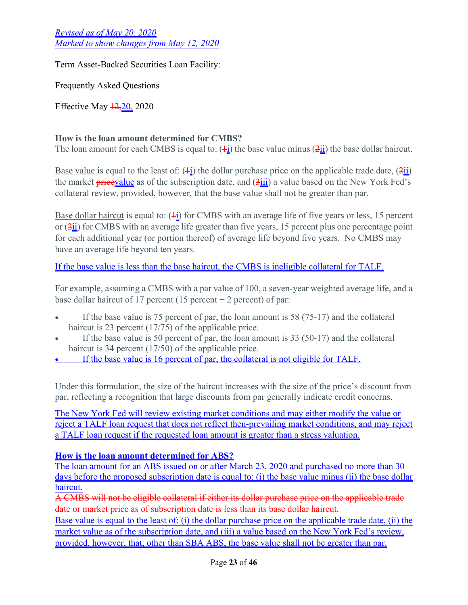Term Asset-Backed Securities Loan Facility:

Frequently Asked Questions

Effective May  $\frac{12,20}{2020}$ 

## **How is the loan amount determined for CMBS?**

The loan amount for each CMBS is equal to:  $(\frac{1}{1})$  the base value minus  $(2\text{ii})$  the base dollar haircut.

Base value is equal to the least of:  $(\frac{1}{1})$  the dollar purchase price on the applicable trade date,  $(\frac{2}{1})$ the market **pricevalue** as of the subscription date, and  $(3\text{iii})$  a value based on the New York Fed's collateral review, provided, however, that the base value shall not be greater than par.

Base dollar haircut is equal to:  $(4i)$  for CMBS with an average life of five years or less, 15 percent or  $(2\frac{1}{11})$  for CMBS with an average life greater than five years, 15 percent plus one percentage point for each additional year (or portion thereof) of average life beyond five years. No CMBS may have an average life beyond ten years.

If the base value is less than the base haircut, the CMBS is ineligible collateral for TALF.

For example, assuming a CMBS with a par value of 100, a seven-year weighted average life, and a base dollar haircut of 17 percent (15 percent + 2 percent) of par:

- If the base value is 75 percent of par, the loan amount is 58 (75-17) and the collateral haircut is 23 percent (17/75) of the applicable price.
- If the base value is 50 percent of par, the loan amount is 33 (50-17) and the collateral haircut is 34 percent (17/50) of the applicable price.
- If the base value is 16 percent of par, the collateral is not eligible for TALF.

Under this formulation, the size of the haircut increases with the size of the price's discount from par, reflecting a recognition that large discounts from par generally indicate credit concerns.

The New York Fed will review existing market conditions and may either modify the value or reject a TALF loan request that does not reflect then-prevailing market conditions, and may reject a TALF loan request if the requested loan amount is greater than a stress valuation.

# **How is the loan amount determined for ABS?**

The loan amount for an ABS issued on or after March 23, 2020 and purchased no more than 30 days before the proposed subscription date is equal to: (i) the base value minus (ii) the base dollar haircut.

A CMBS will not be eligible collateral if either its dollar purchase price on the applicable trade date or market price as of subscription date is less than its base dollar haircut.

Base value is equal to the least of: (i) the dollar purchase price on the applicable trade date, (ii) the market value as of the subscription date, and (iii) a value based on the New York Fed's review, provided, however, that, other than SBA ABS, the base value shall not be greater than par.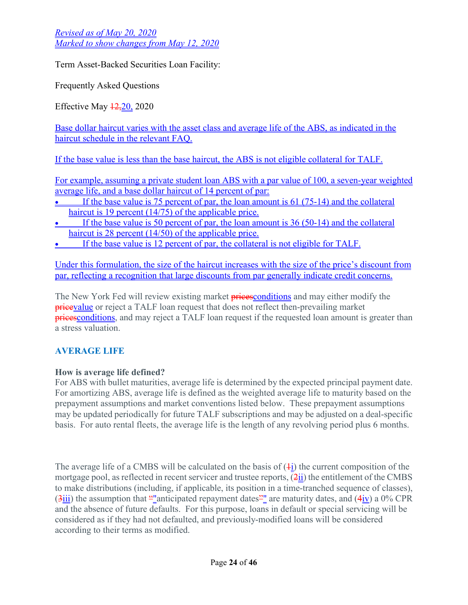Term Asset-Backed Securities Loan Facility:

Frequently Asked Questions

Effective May  $\frac{12,20}{2020}$ 

Base dollar haircut varies with the asset class and average life of the ABS, as indicated in the haircut schedule in the relevant FAQ.

If the base value is less than the base haircut, the ABS is not eligible collateral for TALF.

For example, assuming a private student loan ABS with a par value of 100, a seven-year weighted average life, and a base dollar haircut of 14 percent of par:

- If the base value is 75 percent of par, the loan amount is 61 (75-14) and the collateral haircut is 19 percent (14/75) of the applicable price.
- If the base value is 50 percent of par, the loan amount is 36 (50-14) and the collateral haircut is 28 percent (14/50) of the applicable price.
- If the base value is 12 percent of par, the collateral is not eligible for TALF.

Under this formulation, the size of the haircut increases with the size of the price's discount from par, reflecting a recognition that large discounts from par generally indicate credit concerns.

The New York Fed will review existing market **prices** conditions and may either modify the **pricevalue** or reject a TALF loan request that does not reflect then-prevailing market **prices** conditions, and may reject a TALF loan request if the requested loan amount is greater than a stress valuation.

# **AVERAGE LIFE**

## **How is average life defined?**

For ABS with bullet maturities, average life is determined by the expected principal payment date. For amortizing ABS, average life is defined as the weighted average life to maturity based on the prepayment assumptions and market conventions listed below. These prepayment assumptions may be updated periodically for future TALF subscriptions and may be adjusted on a deal-specific basis. For auto rental fleets, the average life is the length of any revolving period plus 6 months.

The average life of a CMBS will be calculated on the basis of  $(\pm i)$  the current composition of the mortgage pool, as reflected in recent servicer and trustee reports,  $(2ii)$  the entitlement of the CMBS to make distributions (including, if applicable, its position in a time-tranched sequence of classes),  $(3\frac{\text{iii}}{\text{iii}})$  the assumption that ""anticipated repayment dates"" are maturity dates, and  $(4\frac{\text{iv}}{\text{iv}})$  a 0% CPR and the absence of future defaults. For this purpose, loans in default or special servicing will be considered as if they had not defaulted, and previously-modified loans will be considered according to their terms as modified.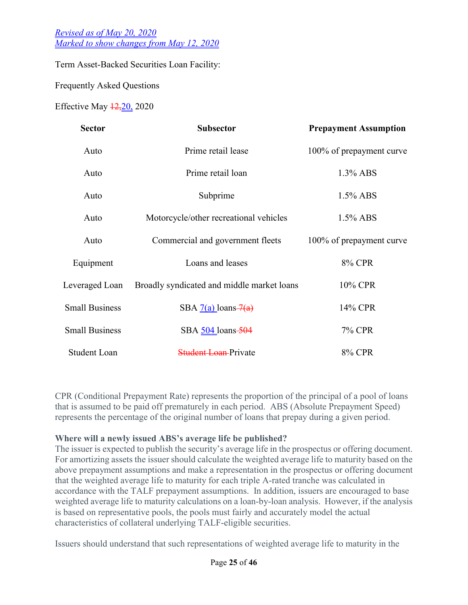Term Asset-Backed Securities Loan Facility:

Frequently Asked Questions

Effective May  $\frac{12,20}{20,2020}$ 

| <b>Sector</b>         | <b>Subsector</b>                           | <b>Prepayment Assumption</b> |
|-----------------------|--------------------------------------------|------------------------------|
| Auto                  | Prime retail lease                         | 100% of prepayment curve     |
| Auto                  | Prime retail loan                          | $1.3\%$ ABS                  |
| Auto                  | Subprime                                   | $1.5\%$ ABS                  |
| Auto                  | Motorcycle/other recreational vehicles     | $1.5\%$ ABS                  |
| Auto                  | Commercial and government fleets           | 100% of prepayment curve     |
| Equipment             | Loans and leases                           | 8% CPR                       |
| Leveraged Loan        | Broadly syndicated and middle market loans | 10% CPR                      |
| <b>Small Business</b> | SBA $7(a)$ loans $7(a)$                    | 14% CPR                      |
| <b>Small Business</b> | SBA 504 loans-504                          | 7% CPR                       |
| <b>Student Loan</b>   | <b>Student Loan-Private</b>                | 8% CPR                       |

CPR (Conditional Prepayment Rate) represents the proportion of the principal of a pool of loans that is assumed to be paid off prematurely in each period. ABS (Absolute Prepayment Speed) represents the percentage of the original number of loans that prepay during a given period.

#### **Where will a newly issued ABS's average life be published?**

The issuer is expected to publish the security's average life in the prospectus or offering document. For amortizing assets the issuer should calculate the weighted average life to maturity based on the above prepayment assumptions and make a representation in the prospectus or offering document that the weighted average life to maturity for each triple A-rated tranche was calculated in accordance with the TALF prepayment assumptions. In addition, issuers are encouraged to base weighted average life to maturity calculations on a loan-by-loan analysis. However, if the analysis is based on representative pools, the pools must fairly and accurately model the actual characteristics of collateral underlying TALF-eligible securities.

Issuers should understand that such representations of weighted average life to maturity in the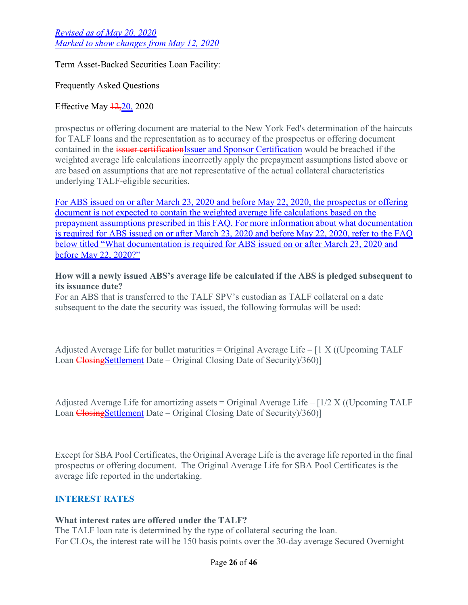Term Asset-Backed Securities Loan Facility:

Frequently Asked Questions

## Effective May  $\frac{12,20}{20,2020}$

prospectus or offering document are material to the New York Fed's determination of the haircuts for TALF loans and the representation as to accuracy of the prospectus or offering document contained in the issuer certificationIssuer and Sponsor Certification would be breached if the weighted average life calculations incorrectly apply the prepayment assumptions listed above or are based on assumptions that are not representative of the actual collateral characteristics underlying TALF-eligible securities.

For ABS issued on or after March 23, 2020 and before May 22, 2020, the prospectus or offering document is not expected to contain the weighted average life calculations based on the prepayment assumptions prescribed in this FAQ. For more information about what documentation is required for ABS issued on or after March 23, 2020 and before May 22, 2020, refer to the FAQ below titled "What documentation is required for ABS issued on or after March 23, 2020 and before May 22, 2020?"

#### **How will a newly issued ABS's average life be calculated if the ABS is pledged subsequent to its issuance date?**

For an ABS that is transferred to the TALF SPV's custodian as TALF collateral on a date subsequent to the date the security was issued, the following formulas will be used:

Adjusted Average Life for bullet maturities = Original Average Life –  $[1 X ((Upcoming TALF$ Loan Closing Settlement Date – Original Closing Date of Security)/360)]

Adjusted Average Life for amortizing assets = Original Average Life  $-[1/2 X (Upcoming TALF$ Loan Closing Settlement Date – Original Closing Date of Security (360)]

Except for SBA Pool Certificates, the Original Average Life is the average life reported in the final prospectus or offering document. The Original Average Life for SBA Pool Certificates is the average life reported in the undertaking.

## **INTEREST RATES**

## **What interest rates are offered under the TALF?**

The TALF loan rate is determined by the type of collateral securing the loan. For CLOs, the interest rate will be 150 basis points over the 30-day average Secured Overnight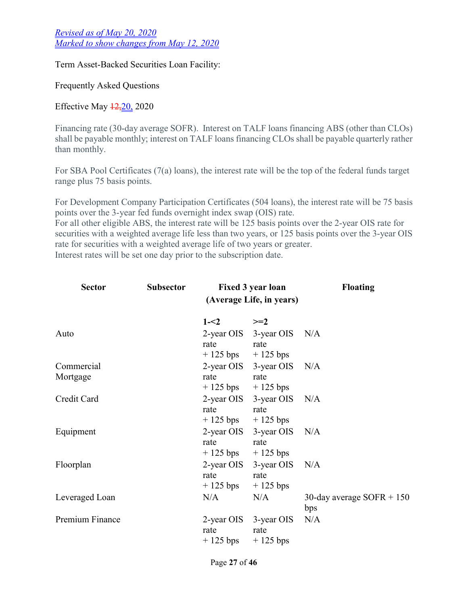Term Asset-Backed Securities Loan Facility:

Frequently Asked Questions

Effective May  $\frac{12,20}{2020}$ 

Financing rate (30-day average SOFR). Interest on TALF loans financing ABS (other than CLOs) shall be payable monthly; interest on TALF loans financing CLOs shall be payable quarterly rather than monthly.

For SBA Pool Certificates (7(a) loans), the interest rate will be the top of the federal funds target range plus 75 basis points.

For Development Company Participation Certificates (504 loans), the interest rate will be 75 basis points over the 3-year fed funds overnight index swap (OIS) rate. For all other eligible ABS, the interest rate will be 125 basis points over the 2-year OIS rate for securities with a weighted average life less than two years, or 125 basis points over the 3-year OIS rate for securities with a weighted average life of two years or greater. Interest rates will be set one day prior to the subscription date.

| <b>Sector</b>          | <b>Subsector</b><br><b>Fixed 3 year loan</b><br>(Average Life, in years) |                                             | <b>Floating</b>                             |                                    |  |
|------------------------|--------------------------------------------------------------------------|---------------------------------------------|---------------------------------------------|------------------------------------|--|
|                        |                                                                          | $1 - 2$                                     | $>=2$                                       |                                    |  |
| Auto                   |                                                                          | 2-year OIS<br>rate<br>$+125$ bps $+125$ bps | $3$ -year OIS N/A<br>rate                   |                                    |  |
| Commercial<br>Mortgage |                                                                          | rate<br>$+125$ bps                          | 2-year OIS 3-year OIS<br>rate<br>$+125$ bps | N/A                                |  |
| Credit Card            |                                                                          | rate<br>$+125$ bps                          | 2-year OIS 3-year OIS<br>rate<br>$+125$ bps | N/A                                |  |
| Equipment              |                                                                          | 2-year OIS<br>rate<br>$+125$ bps            | 3-year OIS<br>rate<br>$+125$ bps            | N/A                                |  |
| Floorplan              |                                                                          | 2-year OIS<br>rate<br>$+125$ bps            | 3-year OIS<br>rate<br>$+125$ bps            | N/A                                |  |
| Leveraged Loan         |                                                                          | N/A                                         | N/A                                         | 30-day average $SOFR + 150$<br>bps |  |
| Premium Finance        |                                                                          | rate<br>$+125$ bps                          | 2-year OIS 3-year OIS<br>rate<br>$+125$ bps | N/A                                |  |

Page **27** of **46**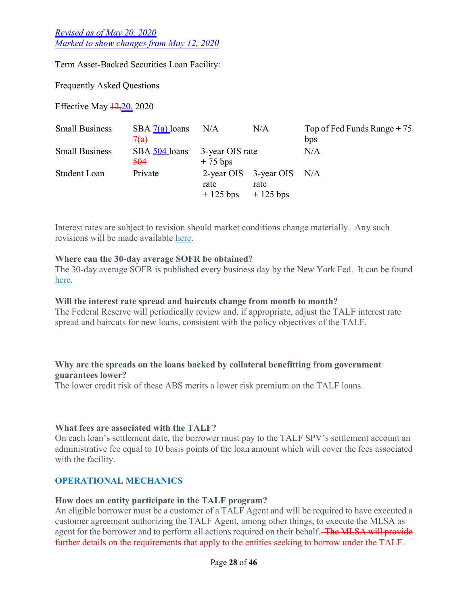Term Asset-Backed Securities Loan Facility:

Frequently Asked Questions

Effective May  $\frac{12,20}{20,2020}$ 

| <b>Small Business</b> | SBA $7(a)$ loans                | N/A                                           | N/A                          | Top of Fed Funds Range $+75$ |
|-----------------------|---------------------------------|-----------------------------------------------|------------------------------|------------------------------|
|                       | 7(a)                            |                                               |                              | bps                          |
| <b>Small Business</b> | SBA 504 loans<br><del>504</del> | 3-year OIS rate<br>$+75$ bps                  |                              | N/A                          |
| Student Loan          | Private                         |                                               | 2-year OIS $3$ -year OIS N/A |                              |
|                       |                                 | rate<br>$+125 \text{ bps}$ $+125 \text{ bps}$ | rate                         |                              |

Interest rates are subject to revision should market conditions change materially. Any such revisions will be made available [here](https://newyorkfedpublicsitescm.ws.frb.org/markets/term-asset-backed-securities-loan-facility).

#### **Where can the 30-day average SOFR be obtained?**

The 30-day average SOFR is published every business day by the New York Fed. It can be found [here](https://apps.newyorkfed.org/markets/autorates/sofr-avg-ind).

#### **Will the interest rate spread and haircuts change from month to month?**

The Federal Reserve will periodically review and, if appropriate, adjust the TALF interest rate spread and haircuts for new loans, consistent with the policy objectives of the TALF.

#### **Why are the spreads on the loans backed by collateral benefitting from government guarantees lower?**

The lower credit risk of these ABS merits a lower risk premium on the TALF loans.

#### **What fees are associated with the TALF?**

On each loan's settlement date, the borrower must pay to the TALF SPV's settlement account an administrative fee equal to 10 basis points of the loan amount which will cover the fees associated with the facility.

## **OPERATIONAL MECHANICS**

#### **How does an entity participate in the TALF program?**

An eligible borrower must be a customer of a TALF Agent and will be required to have executed a customer agreement authorizing the TALF Agent, among other things, to execute the MLSA as agent for the borrower and to perform all actions required on their behalf. The MLSA will provide further details on the requirements that apply to the entities seeking to borrow under the TALF.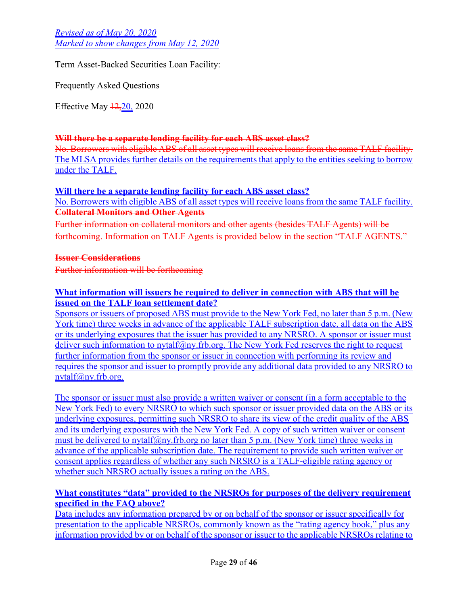Term Asset-Backed Securities Loan Facility:

Frequently Asked Questions

Effective May 12,20, 2020

## **Will there be a separate lending facility for each ABS asset class?**

No. Borrowers with eligible ABS of all asset types will receive loans from the same TALF facility. The MLSA provides further details on the requirements that apply to the entities seeking to borrow under the TALF.

### **Will there be a separate lending facility for each ABS asset class?**

No. Borrowers with eligible ABS of all asset types will receive loans from the same TALF facility. **Collateral Monitors and Other Agents**

Further information on collateral monitors and other agents (besides TALF Agents) will be forthcoming. Information on TALF Agents is provided below in the section "TALF AGENTS."

### **Issuer Considerations**

Further information will be forthcoming

## **What information will issuers be required to deliver in connection with ABS that will be issued on the TALF loan settlement date?**

Sponsors or issuers of proposed ABS must provide to the New York Fed, no later than 5 p.m. (New York time) three weeks in advance of the applicable TALF subscription date, all data on the ABS or its underlying exposures that the issuer has provided to any NRSRO. A sponsor or issuer must deliver such information to [nytalf@ny.frb.org](mailto:nytalf@ny.frb.org). The New York Fed reserves the right to request further information from the sponsor or issuer in connection with performing its review and requires the sponsor and issuer to promptly provide any additional data provided to any NRSRO to [nytalf@ny.frb.org.](mailto:nytalf@ny.frb.org)

The sponsor or issuer must also provide a written waiver or consent (in a form acceptable to the New York Fed) to every NRSRO to which such sponsor or issuer provided data on the ABS or its underlying exposures, permitting such NRSRO to share its view of the credit quality of the ABS and its underlying exposures with the New York Fed. A copy of such written waiver or consent must be delivered to [nytalf@ny.frb.org](mailto:nytalf@ny.frb.org) no later than 5 p.m. (New York time) three weeks in advance of the applicable subscription date. The requirement to provide such written waiver or consent applies regardless of whether any such NRSRO is a TALF-eligible rating agency or whether such NRSRO actually issues a rating on the ABS.

## **What constitutes "data" provided to the NRSROs for purposes of the delivery requirement specified in the FAQ above?**

Data includes any information prepared by or on behalf of the sponsor or issuer specifically for presentation to the applicable NRSROs, commonly known as the "rating agency book," plus any information provided by or on behalf of the sponsor or issuer to the applicable NRSROs relating to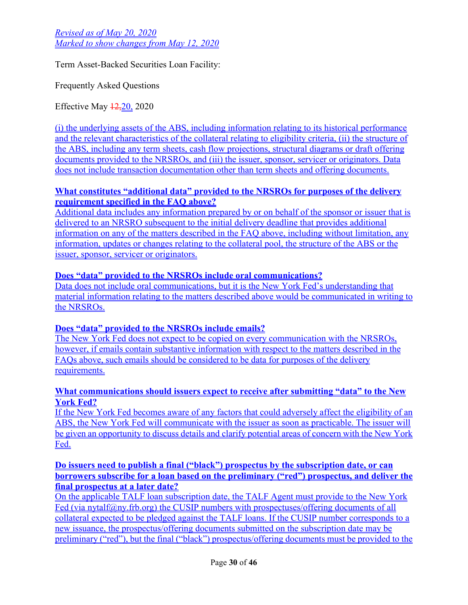Term Asset-Backed Securities Loan Facility:

Frequently Asked Questions

Effective May  $\frac{12,20}{2020}$ 

(i) the underlying assets of the ABS, including information relating to its historical performance and the relevant characteristics of the collateral relating to eligibility criteria, (ii) the structure of the ABS, including any term sheets, cash flow projections, structural diagrams or draft offering documents provided to the NRSROs, and (iii) the issuer, sponsor, servicer or originators. Data does not include transaction documentation other than term sheets and offering documents.

## **What constitutes "additional data" provided to the NRSROs for purposes of the delivery requirement specified in the FAQ above?**

Additional data includes any information prepared by or on behalf of the sponsor or issuer that is delivered to an NRSRO subsequent to the initial delivery deadline that provides additional information on any of the matters described in the FAQ above, including without limitation, any information, updates or changes relating to the collateral pool, the structure of the ABS or the issuer, sponsor, servicer or originators.

## **Does "data" provided to the NRSROs include oral communications?**

Data does not include oral communications, but it is the New York Fed's understanding that material information relating to the matters described above would be communicated in writing to the NRSROs.

## **Does "data" provided to the NRSROs include emails?**

The New York Fed does not expect to be copied on every communication with the NRSROs, however, if emails contain substantive information with respect to the matters described in the FAQs above, such emails should be considered to be data for purposes of the delivery requirements.

## **What communications should issuers expect to receive after submitting "data" to the New York Fed?**

If the New York Fed becomes aware of any factors that could adversely affect the eligibility of an ABS, the New York Fed will communicate with the issuer as soon as practicable. The issuer will be given an opportunity to discuss details and clarify potential areas of concern with the New York Fed.

### **Do issuers need to publish a final ("black") prospectus by the subscription date, or can borrowers subscribe for a loan based on the preliminary ("red") prospectus, and deliver the final prospectus at a later date?**

On the applicable TALF loan subscription date, the TALF Agent must provide to the New York Fed (via [nytalf@ny.frb.org\)](mailto:nytalf@ny.frb.org) the CUSIP numbers with prospectuses/offering documents of all collateral expected to be pledged against the TALF loans. If the CUSIP number corresponds to a new issuance, the prospectus/offering documents submitted on the subscription date may be preliminary ("red"), but the final ("black") prospectus/offering documents must be provided to the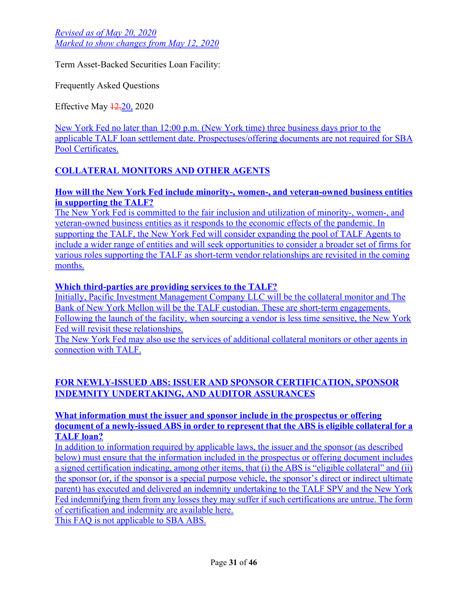Term Asset-Backed Securities Loan Facility:

Frequently Asked Questions

Effective May 12,20, 2020

New York Fed no later than 12:00 p.m. (New York time) three business days prior to the applicable TALF loan settlement date. Prospectuses/offering documents are not required for SBA Pool Certificates.

# **COLLATERAL MONITORS AND OTHER AGENTS**

### **How will the New York Fed include minority-, women-, and veteran-owned business entities in supporting the TALF?**

The New York Fed is committed to the fair inclusion and utilization of minority-, women-, and veteran-owned business entities as it responds to the economic effects of the pandemic. In supporting the TALF, the New York Fed will consider expanding the pool of TALF Agents to include a wider range of entities and will seek opportunities to consider a broader set of firms for various roles supporting the TALF as short-term vendor relationships are revisited in the coming months.

## **Which third-parties are providing services to the TALF?**

Initially, Pacific Investment Management Company LLC will be the collateral monitor and The Bank of New York Mellon will be the TALF custodian. These are short-term engagements. Following the launch of the facility, when sourcing a vendor is less time sensitive, the New York Fed will revisit these relationships.

The New York Fed may also use the services of additional collateral monitors or other agents in connection with TALF.

# **FOR NEWLY-ISSUED ABS: ISSUER AND SPONSOR CERTIFICATION, SPONSOR INDEMNITY UNDERTAKING, AND AUDITOR ASSURANCES**

### **What information must the issuer and sponsor include in the prospectus or offering document of a newly-issued ABS in order to represent that the ABS is eligible collateral for a TALF loan?**

In addition to information required by applicable laws, the issuer and the sponsor (as described below) must ensure that the information included in the prospectus or offering document includes a signed certification indicating, among other items, that (i) the ABS is "eligible collateral" and (ii) the sponsor (or, if the sponsor is a special purpose vehicle, the sponsor's direct or indirect ultimate parent) has executed and delivered an indemnity undertaking to the TALF SPV and the New York Fed indemnifying them from any losses they may suffer if such certifications are untrue. The form of certification and indemnity are available [here.](https://newyorkfedpublicsitescm.ws.frb.org/medialibrary/media/markets/talfdocs/talf-issuer-sponsor-certification.pdf)

This FAQ is not applicable to SBA ABS.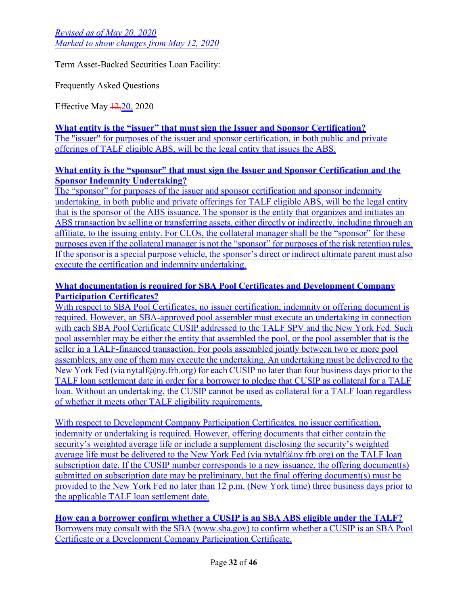Term Asset-Backed Securities Loan Facility:

Frequently Asked Questions

Effective May 12,20, 2020

**What entity is the "issuer" that must sign the Issuer and Sponsor Certification?** The "issuer" for purposes of the issuer and sponsor certification, in both public and private offerings of TALF eligible ABS, will be the legal entity that issues the ABS.

## **What entity is the "sponsor" that must sign the Issuer and Sponsor Certification and the Sponsor Indemnity Undertaking?**

The "sponsor" for purposes of the issuer and sponsor certification and sponsor indemnity undertaking, in both public and private offerings for TALF eligible ABS, will be the legal entity that is the sponsor of the ABS issuance. The sponsor is the entity that organizes and initiates an ABS transaction by selling or transferring assets, either directly or indirectly, including through an affiliate, to the issuing entity. For CLOs, the collateral manager shall be the "sponsor" for these purposes even if the collateral manager is not the "sponsor" for purposes of the risk retention rules. If the sponsor is a special purpose vehicle, the sponsor's direct or indirect ultimate parent must also execute the certification and indemnity undertaking.

## **What documentation is required for SBA Pool Certificates and Development Company Participation Certificates?**

With respect to SBA Pool Certificates, no issuer certification, indemnity or offering document is required. However, an SBA-approved pool assembler must execute an [undertaking](https://newyorkfedpublicsitescm.ws.frb.org/medialibrary/media/markets/talfdocs/talf-sba-undertaking.pdf) in connection with each SBA Pool Certificate CUSIP addressed to the TALF SPV and the New York Fed. Such pool assembler may be either the entity that assembled the pool, or the pool assembler that is the seller in a TALF-financed transaction. For pools assembled jointly between two or more pool assemblers, any one of them may execute the undertaking. An undertaking must be delivered to the New York Fed (via [nytalf@ny.frb.org\)](mailto:nytalf@ny.frb.org) for each CUSIP no later than four business days prior to the TALF loan settlement date in order for a borrower to pledge that CUSIP as collateral for a TALF loan. Without an undertaking, the CUSIP cannot be used as collateral for a TALF loan regardless of whether it meets other TALF eligibility requirements.

With respect to Development Company Participation Certificates, no issuer certification, indemnity or undertaking is required. However, offering documents that either contain the security's weighted average life or include a supplement disclosing the security's weighted average life must be delivered to the New York Fed (via [nytalf@ny.frb.org\)](mailto:nytalf@ny.frb.org) on the TALF loan subscription date. If the CUSIP number corresponds to a new issuance, the offering document(s) submitted on subscription date may be preliminary, but the final offering document(s) must be provided to the New York Fed no later than 12 p.m. (New York time) three business days prior to the applicable TALF loan settlement date.

**How can a borrower confirm whether a CUSIP is an SBA ABS eligible under the TALF?** Borrowers may consult with the SBA ([www.sba.gov\)](https://www.sba.gov/) to confirm whether a CUSIP is an SBA Pool Certificate or a Development Company Participation Certificate.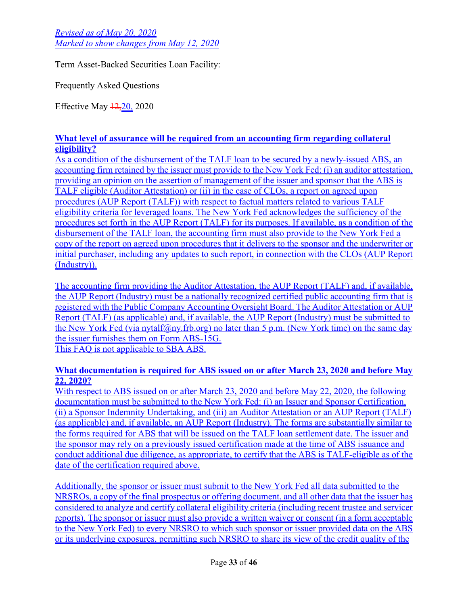Term Asset-Backed Securities Loan Facility:

Frequently Asked Questions

Effective May 12,20, 2020

## **What level of assurance will be required from an accounting firm regarding collateral eligibility?**

As a condition of the disbursement of the TALF loan to be secured by a newly-issued ABS, an accounting firm retained by the issuer must provide to the New York Fed: (i) an [auditor attestation](https://newyorkfedpublicsitescm.ws.frb.org/medialibrary/media/markets/talfdocs/talf-auditor-attestation.pdf), providing an opinion on the assertion of management of the issuer and sponsor that the ABS is [TALF eligible \(Auditor Attestation\) or \(ii\) in the case of CLOs, a report on agreed upon](https://newyorkfedpublicsitescm.ws.frb.org/medialibrary/media/markets/talfdocs/talf-aup-clo.pdf)  procedures (AUP Report (TALF)) with respect to factual matters related to various TALF eligibility criteria for leveraged loans. The New York Fed acknowledges the sufficiency of the procedures set forth in the AUP Report (TALF) for its purposes. If available, as a condition of the disbursement of the TALF loan, the accounting firm must also provide to the New York Fed a copy of the report on agreed upon procedures that it delivers to the sponsor and the underwriter or initial purchaser, including any updates to such report, in connection with the CLOs (AUP Report (Industry)).

The accounting firm providing the Auditor Attestation, the AUP Report (TALF) and, if available, the AUP Report (Industry) must be a nationally recognized certified public accounting firm that is registered with the Public Company Accounting Oversight Board. The Auditor Attestation or AUP Report (TALF) (as applicable) and, if available, the AUP Report (Industry) must be submitted to the New York Fed (via [nytalf@ny.frb.org\)](mailto:nytalf@ny.frb.org) no later than 5 p.m. (New York time) on the same day the issuer furnishes them on Form ABS-15G. This FAQ is not applicable to SBA ABS.

### **What documentation is required for ABS issued on or after March 23, 2020 and before May 22, 2020?**

With respect to ABS issued on or after March 23, 2020 and before May 22, 2020, the following documentation must be submitted to the New York Fed: (i) an [Issuer and Sponsor Certification,](https://newyorkfedpublicsitescm.ws.frb.org/medialibrary/media/markets/talfdocs/talf-issuer-sponsor-certification.pdf) (ii) a [Sponsor Indemnity Undertaking](https://newyorkfedpublicsitescm.ws.frb.org/medialibrary/media/markets/talfdocs/talf-issuer-sponsor-certification.pdf), and (iii) an [Auditor Attestation](https://newyorkfedpublicsitescm.ws.frb.org/medialibrary/media/markets/talfdocs/talf-auditor-attestation.pdf) or an [AUP Report \(TALF\)](https://newyorkfedpublicsitescm.ws.frb.org/medialibrary/media/markets/talfdocs/talf-aup-clo.pdf) (as applicable) and, if available, an AUP Report (Industry). The forms are substantially similar to the forms required for ABS that will be issued on the TALF loan settlement date. The issuer and the sponsor may rely on a previously issued certification made at the time of ABS issuance and conduct additional due diligence, as appropriate, to certify that the ABS is TALF-eligible as of the date of the certification required above.

Additionally, the sponsor or issuer must submit to the New York Fed all data submitted to the NRSROs, a copy of the final prospectus or offering document, and all other data that the issuer has considered to analyze and certify collateral eligibility criteria (including recent trustee and servicer reports). The sponsor or issuer must also provide a written waiver or consent (in a form acceptable to the New York Fed) to every NRSRO to which such sponsor or issuer provided data on the ABS or its underlying exposures, permitting such NRSRO to share its view of the credit quality of the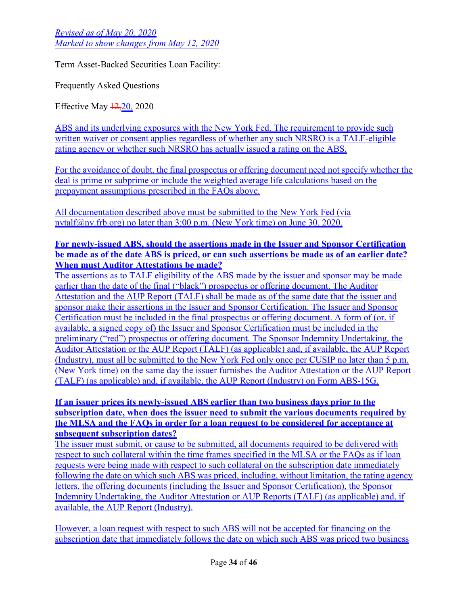Term Asset-Backed Securities Loan Facility:

Frequently Asked Questions

Effective May 12,20, 2020

ABS and its underlying exposures with the New York Fed. The requirement to provide such written waiver or consent applies regardless of whether any such NRSRO is a TALF-eligible rating agency or whether such NRSRO has actually issued a rating on the ABS.

For the avoidance of doubt, the final prospectus or offering document need not specify whether the deal is prime or subprime or include the weighted average life calculations based on the prepayment assumptions prescribed in the FAQs above.

All documentation described above must be submitted to the New York Fed (via [nytalf@ny.frb.org](mailto:nytalf@ny.frb.org)) no later than 3:00 p.m. (New York time) on June 30, 2020.

#### **For newly-issued ABS, should the assertions made in the Issuer and Sponsor Certification be made as of the date ABS is priced, or can such assertions be made as of an earlier date? When must Auditor Attestations be made?**

The assertions as to TALF eligibility of the ABS made by the issuer and sponsor may be made earlier than the date of the final ("black") prospectus or offering document. The Auditor Attestation and the AUP Report (TALF) shall be made as of the same date that the issuer and sponsor make their assertions in the Issuer and Sponsor Certification. The Issuer and Sponsor Certification must be included in the final prospectus or offering document. A form of (or, if available, a signed copy of) the Issuer and Sponsor Certification must be included in the preliminary ("red") prospectus or offering document. The Sponsor Indemnity Undertaking, the Auditor Attestation or the AUP Report (TALF) (as applicable) and, if available, the AUP Report (Industry), must all be submitted to the New York Fed only once per CUSIP no later than 5 p.m. (New York time) on the same day the issuer furnishes the Auditor Attestation or the AUP Report (TALF) (as applicable) and, if available, the AUP Report (Industry) on Form ABS-15G.

### **If an issuer prices its newly-issued ABS earlier than two business days prior to the subscription date, when does the issuer need to submit the various documents required by the MLSA and the FAQs in order for a loan request to be considered for acceptance at subsequent subscription dates?**

The issuer must submit, or cause to be submitted, all documents required to be delivered with respect to such collateral within the time frames specified in the MLSA or the FAQs as if loan requests were being made with respect to such collateral on the subscription date immediately following the date on which such ABS was priced, including, without limitation, the rating agency letters, the offering documents (including the Issuer and Sponsor Certification), the Sponsor Indemnity Undertaking, the Auditor Attestation or AUP Reports (TALF) (as applicable) and, if available, the AUP Report (Industry).

However, a loan request with respect to such ABS will not be accepted for financing on the subscription date that immediately follows the date on which such ABS was priced two business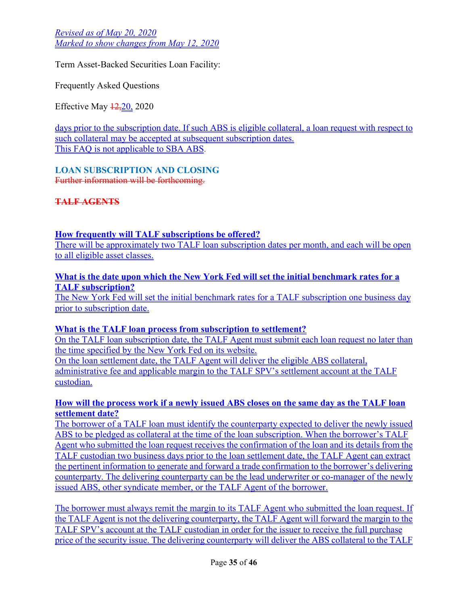Term Asset-Backed Securities Loan Facility:

Frequently Asked Questions

Effective May 12,20, 2020

days prior to the subscription date. If such ABS is eligible collateral, a loan request with respect to such collateral may be accepted at subsequent subscription dates. This FAQ is not applicable to SBA ABS.

**LOAN SUBSCRIPTION AND CLOSING**

Further information will be forthcoming.

**TALF AGENTS**

## **How frequently will TALF subscriptions be offered?**

There will be approximately two TALF loan subscription dates per month, and each will be open to all eligible asset classes.

**What is the date upon which the New York Fed will set the initial benchmark rates for a TALF subscription?** The New York Fed will set the initial benchmark rates for a TALF subscription one business day prior to subscription date.

#### **What is the TALF loan process from subscription to settlement?**

On the TALF loan subscription date, the TALF Agent must submit each [loan request](https://newyorkfedpublicsitescm.ws.frb.org/medialibrary/media/markets/talfdocs/talf-request-form-and-instructions.xlsx) no later than the time specified by the New York Fed on its website. On the loan settlement date, the TALF Agent will deliver the eligible ABS collateral, administrative fee and applicable margin to the TALF SPV's settlement account at the TALF custodian.

## **How will the process work if a newly issued ABS closes on the same day as the TALF loan settlement date?**

The borrower of a TALF loan must identify the counterparty expected to deliver the newly issued ABS to be pledged as collateral at the time of the loan subscription. When the borrower's TALF Agent who submitted the loan request receives the confirmation of the loan and its details from the TALF custodian two business days prior to the loan settlement date, the TALF Agent can extract the pertinent information to generate and forward a trade confirmation to the borrower's delivering counterparty. The delivering counterparty can be the lead underwriter or co-manager of the newly issued ABS, other syndicate member, or the TALF Agent of the borrower.

The borrower must always remit the margin to its TALF Agent who submitted the loan request. If the TALF Agent is not the delivering counterparty, the TALF Agent will forward the margin to the TALF SPV's account at the TALF custodian in order for the issuer to receive the full purchase price of the security issue. The delivering counterparty will deliver the ABS collateral to the TALF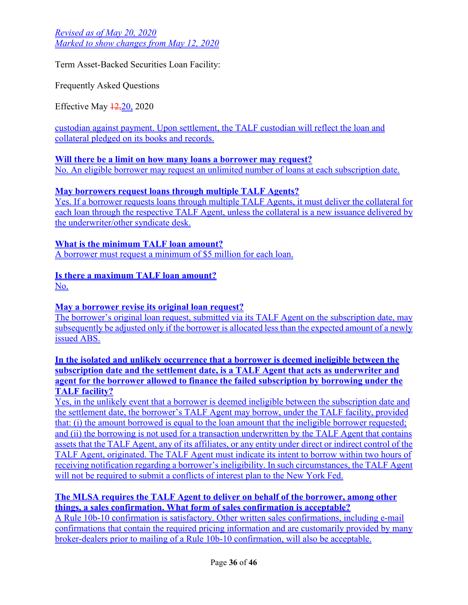Term Asset-Backed Securities Loan Facility:

Frequently Asked Questions

Effective May 12,20, 2020

custodian against payment. Upon settlement, the TALF custodian will reflect the loan and collateral pledged on its books and records.

**Will there be a limit on how many loans a borrower may request?** No. An eligible borrower may request an unlimited number of loans at each subscription date.

## **May borrowers request loans through multiple TALF Agents?**

Yes. If a borrower requests loans through multiple TALF Agents, it must deliver the collateral for each loan through the respective TALF Agent, unless the collateral is a new issuance delivered by the underwriter/other syndicate desk.

**What is the minimum TALF loan amount?** A borrower must request a minimum of \$5 million for each loan.

## **Is there a maximum TALF loan amount?**

No.

## **May a borrower revise its original loan request?**

The borrower's original loan request, submitted via its TALF Agent on the subscription date, may subsequently be adjusted only if the borrower is allocated less than the expected amount of a newly issued ABS.

**In the isolated and unlikely occurrence that a borrower is deemed ineligible between the subscription date and the settlement date, is a TALF Agent that acts as underwriter and agent for the borrower allowed to finance the failed subscription by borrowing under the TALF facility?**

Yes, in the unlikely event that a borrower is deemed ineligible between the subscription date and the settlement date, the borrower's TALF Agent may borrow, under the TALF facility, provided that: (i) the amount borrowed is equal to the loan amount that the ineligible borrower requested; and (ii) the borrowing is not used for a transaction underwritten by the TALF Agent that contains assets that the TALF Agent, any of its affiliates, or any entity under direct or indirect control of the TALF Agent, originated. The TALF Agent must indicate its intent to borrow within two hours of receiving notification regarding a borrower's ineligibility. In such circumstances, the TALF Agent will not be required to submit a conflicts of interest plan to the New York Fed.

## **The MLSA requires the TALF Agent to deliver on behalf of the borrower, among other things, a sales confirmation. What form of sales confirmation is acceptable?**

A Rule 10b-10 confirmation is satisfactory. Other written sales confirmations, including e-mail confirmations that contain the required pricing information and are customarily provided by many broker-dealers prior to mailing of a Rule 10b-10 confirmation, will also be acceptable.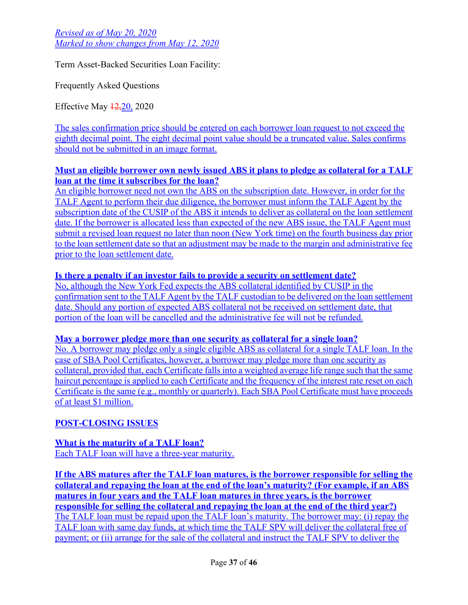Term Asset-Backed Securities Loan Facility:

Frequently Asked Questions

Effective May 12,20, 2020

The sales confirmation price should be entered on each borrower loan request to not exceed the eighth decimal point. The eight decimal point value should be a truncated value. Sales confirms should not be submitted in an image format.

## **Must an eligible borrower own newly issued ABS it plans to pledge as collateral for a TALF loan at the time it subscribes for the loan?**

An eligible borrower need not own the ABS on the subscription date. However, in order for the TALF Agent to perform their due diligence, the borrower must inform the TALF Agent by the subscription date of the CUSIP of the ABS it intends to deliver as collateral on the loan settlement date. If the borrower is allocated less than expected of the new ABS issue, the TALF Agent must submit a revised loan request no later than noon (New York time) on the fourth business day prior to the loan settlement date so that an adjustment may be made to the margin and administrative fee prior to the loan settlement date.

## **Is there a penalty if an investor fails to provide a security on settlement date?**

No, although the New York Fed expects the ABS collateral identified by CUSIP in the confirmation sent to the TALF Agent by the TALF custodian to be delivered on the loan settlement date. Should any portion of expected ABS collateral not be received on settlement date, that portion of the loan will be cancelled and the administrative fee will not be refunded.

## **May a borrower pledge more than one security as collateral for a single loan?**

No. A borrower may pledge only a single eligible ABS as collateral for a single TALF loan. In the case of SBA Pool Certificates, however, a borrower may pledge more than one security as collateral, provided that, each Certificate falls into a weighted average life range such that the same haircut percentage is applied to each Certificate and the frequency of the interest rate reset on each Certificate is the same (e.g., monthly or quarterly). Each SBA Pool Certificate must have proceeds of at least \$1 million.

# **POST-CLOSING ISSUES**

**What is the maturity of a TALF loan?** Each TALF loan will have a three-year maturity.

**If the ABS matures after the TALF loan matures, is the borrower responsible for selling the collateral and repaying the loan at the end of the loan's maturity? (For example, if an ABS matures in four years and the TALF loan matures in three years, is the borrower responsible for selling the collateral and repaying the loan at the end of the third year?)** The TALF loan must be repaid upon the TALF loan's maturity. The borrower may: (i) repay the TALF loan with same day funds, at which time the TALF SPV will deliver the collateral free of payment; or (ii) arrange for the sale of the collateral and instruct the TALF SPV to deliver the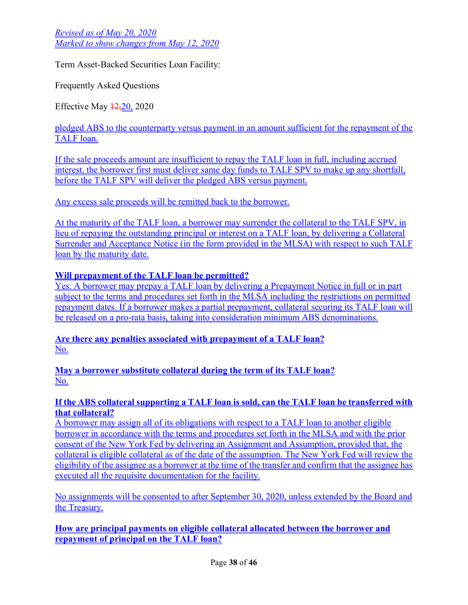Term Asset-Backed Securities Loan Facility:

Frequently Asked Questions

Effective May 12,20, 2020

pledged ABS to the counterparty versus payment in an amount sufficient for the repayment of the TALF loan.

If the sale proceeds amount are insufficient to repay the TALF loan in full, including accrued interest, the borrower first must deliver same day funds to TALF SPV to make up any shortfall, before the TALF SPV will deliver the pledged ABS versus payment.

Any excess sale proceeds will be remitted back to the borrower.

At the maturity of the TALF loan, a borrower may surrender the collateral to the TALF SPV, in lieu of repaying the outstanding principal or interest on a TALF loan, by delivering a Collateral Surrender and Acceptance Notice (in the form provided in the MLSA) with respect to such TALF loan by the maturity date.

## **Will prepayment of the TALF loan be permitted?**

Yes. A borrower may prepay a TALF loan by delivering a [Prepayment Notice](https://newyorkfedpublicsitescm.ws.frb.org/medialibrary/media/markets/talfdocs/talf-mlsa-appendix5) in full or in part subject to the terms and procedures set forth in the MLSA including the restrictions on permitted repayment dates. If a borrower makes a partial prepayment, collateral securing its TALF loan will be released on a pro-rata basis, taking into consideration minimum ABS denominations.

**Are there any penalties associated with prepayment of a TALF loan?** No.

**May a borrower substitute collateral during the term of its TALF loan?** No.

### **If the ABS collateral supporting a TALF loan is sold, can the TALF loan be transferred with that collateral?**

A borrower may assign all of its obligations with respect to a TALF loan to another eligible borrower in accordance with the terms and procedures set forth in the MLSA and with the prior consent of the New York Fed by delivering an [Assignment and Assumption](https://newyorkfedpublicsitescm.ws.frb.org/medialibrary/media/markets/talfdocs/talf-mlsa-appendix3b), provided that, the collateral is eligible collateral as of the date of the assumption. The New York Fed will review the eligibility of the assignee as a borrower at the time of the transfer and confirm that the assignee has executed all the requisite documentation for the facility.

No assignments will be consented to after September 30, 2020, unless extended by the Board and the Treasury.

**How are principal payments on eligible collateral allocated between the borrower and repayment of principal on the TALF loan?**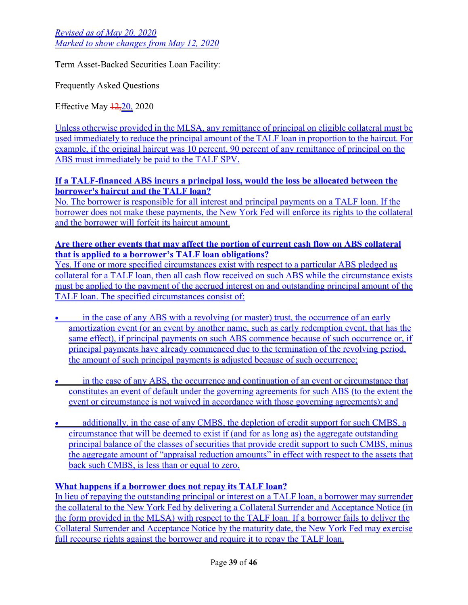Term Asset-Backed Securities Loan Facility:

Frequently Asked Questions

Effective May 12,20, 2020

Unless otherwise provided in the MLSA, any remittance of principal on eligible collateral must be used immediately to reduce the principal amount of the TALF loan in proportion to the haircut. For example, if the original haircut was 10 percent, 90 percent of any remittance of principal on the ABS must immediately be paid to the TALF SPV.

### **If a TALF-financed ABS incurs a principal loss, would the loss be allocated between the borrower's haircut and the TALF loan?**

No. The borrower is responsible for all interest and principal payments on a TALF loan. If the borrower does not make these payments, the New York Fed will enforce its rights to the collateral and the borrower will forfeit its haircut amount.

### **Are there other events that may affect the portion of current cash flow on ABS collateral that is applied to a borrower's TALF loan obligations?**

Yes. If one or more specified circumstances exist with respect to a particular ABS pledged as collateral for a TALF loan, then all cash flow received on such ABS while the circumstance exists must be applied to the payment of the accrued interest on and outstanding principal amount of the TALF loan. The specified circumstances consist of:

- in the case of any ABS with a revolving (or master) trust, the occurrence of an early amortization event (or an event by another name, such as early redemption event, that has the same effect), if principal payments on such ABS commence because of such occurrence or, if principal payments have already commenced due to the termination of the revolving period, the amount of such principal payments is adjusted because of such occurrence;
- **•** in the case of any ABS, the occurrence and continuation of an event or circumstance that constitutes an event of default under the governing agreements for such ABS (to the extent the event or circumstance is not waived in accordance with those governing agreements); and
- additionally, in the case of any CMBS, the depletion of credit support for such CMBS, a circumstance that will be deemed to exist if (and for as long as) the aggregate outstanding principal balance of the classes of securities that provide credit support to such CMBS, minus the aggregate amount of "appraisal reduction amounts" in effect with respect to the assets that back such CMBS, is less than or equal to zero.

## **What happens if a borrower does not repay its TALF loan?**

In lieu of repaying the outstanding principal or interest on a TALF loan, a borrower may surrender the collateral to the New York Fed by delivering a Collateral Surrender and Acceptance Notice (in the form provided in the MLSA) with respect to the TALF loan. If a borrower fails to deliver the Collateral Surrender and Acceptance Notice by the maturity date, the New York Fed may exercise full recourse rights against the borrower and require it to repay the TALF loan.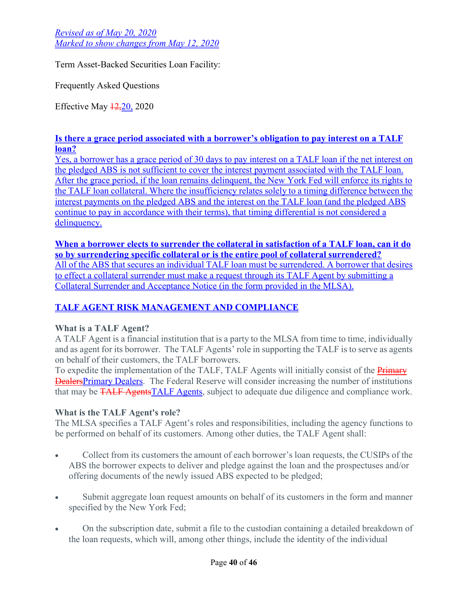Term Asset-Backed Securities Loan Facility:

Frequently Asked Questions

Effective May  $\frac{12,20}{2020}$ 

## **Is there a grace period associated with a borrower's obligation to pay interest on a TALF loan?**

Yes, a borrower has a grace period of 30 days to pay interest on a TALF loan if the net interest on the pledged ABS is not sufficient to cover the interest payment associated with the TALF loan. After the grace period, if the loan remains delinquent, the New York Fed will enforce its rights to the TALF loan collateral. Where the insufficiency relates solely to a timing difference between the interest payments on the pledged ABS and the interest on the TALF loan (and the pledged ABS continue to pay in accordance with their terms), that timing differential is not considered a delinquency.

**When a borrower elects to surrender the collateral in satisfaction of a TALF loan, can it do so by surrendering specific collateral or is the entire pool of collateral surrendered?** All of the ABS that secures an individual TALF loan must be surrendered. A borrower that desires to effect a collateral surrender must make a request through its TALF Agent by submitting a Collateral Surrender and Acceptance Notice (in the form provided in the MLSA).

# **TALF AGENT RISK MANAGEMENT AND COMPLIANCE**

## **What is a TALF Agent?**

A TALF Agent is a financial institution that is a party to the MLSA from time to time, individually and as agent for its borrower. The TALF Agents' role in supporting the TALF is to serve as agents on behalf of their customers, the TALF borrowers.

To expedite the implementation of the TALF, TALF Agents will initially consist of the **Primary** DealersPrimary Dealers. The Federal Reserve will consider increasing the number of institutions that may be **TALF AgentsTALF Agents**, subject to adequate due diligence and compliance work.

## **What is the TALF Agent's role?**

The MLSA specifies a TALF Agent's roles and responsibilities, including the agency functions to be performed on behalf of its customers. Among other duties, the TALF Agent shall:

- Collect from its customers the amount of each borrower's loan requests, the CUSIPs of the ABS the borrower expects to deliver and pledge against the loan and the prospectuses and/or offering documents of the newly issued ABS expected to be pledged;
- Submit aggregate loan request amounts on behalf of its customers in the form and manner specified by the New York Fed;
- On the subscription date, submit a file to the custodian containing a detailed breakdown of the loan requests, which will, among other things, include the identity of the individual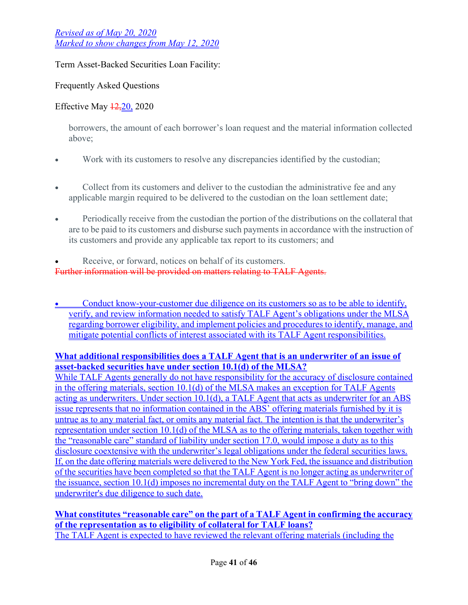Term Asset-Backed Securities Loan Facility:

Frequently Asked Questions

Effective May  $\frac{12,20}{2020}$ 

borrowers, the amount of each borrower's loan request and the material information collected above;

- Work with its customers to resolve any discrepancies identified by the custodian;
- Collect from its customers and deliver to the custodian the administrative fee and any applicable margin required to be delivered to the custodian on the loan settlement date;
- Periodically receive from the custodian the portion of the distributions on the collateral that are to be paid to its customers and disburse such payments in accordance with the instruction of its customers and provide any applicable tax report to its customers; and
- Receive, or forward, notices on behalf of its customers. Further information will be provided on matters relating to TALF Agents.
- Conduct know-your-customer due diligence on its customers so as to be able to identify, verify, and review information needed to satisfy TALF Agent's obligations under the MLSA regarding borrower eligibility, and implement policies and procedures to identify, manage, and mitigate potential conflicts of interest associated with its TALF Agent responsibilities.

## **What additional responsibilities does a TALF Agent that is an underwriter of an issue of asset-backed securities have under section 10.1(d) of the MLSA?**

While TALF Agents generally do not have responsibility for the accuracy of disclosure contained in the offering materials, section 10.1(d) of the MLSA makes an exception for TALF Agents acting as underwriters. Under section 10.1(d), a TALF Agent that acts as underwriter for an ABS issue represents that no information contained in the ABS' offering materials furnished by it is untrue as to any material fact, or omits any material fact. The intention is that the underwriter's representation under section 10.1(d) of the MLSA as to the offering materials, taken together with the "reasonable care" standard of liability under section 17.0, would impose a duty as to this disclosure coextensive with the underwriter's legal obligations under the federal securities laws. If, on the date offering materials were delivered to the New York Fed, the issuance and distribution of the securities have been completed so that the TALF Agent is no longer acting as underwriter of the issuance, section 10.1(d) imposes no incremental duty on the TALF Agent to "bring down" the underwriter's due diligence to such date.

**What constitutes "reasonable care" on the part of a TALF Agent in confirming the accuracy of the representation as to eligibility of collateral for TALF loans?** The TALF Agent is expected to have reviewed the relevant offering materials (including the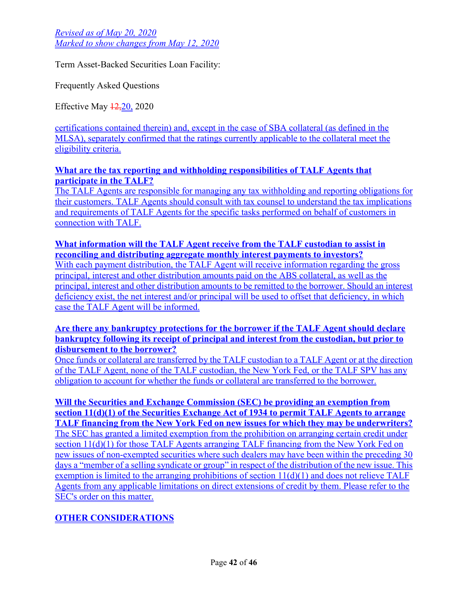Term Asset-Backed Securities Loan Facility:

Frequently Asked Questions

Effective May 12,20, 2020

certifications contained therein) and, except in the case of SBA collateral (as defined in the MLSA), separately confirmed that the ratings currently applicable to the collateral meet the eligibility criteria.

### **What are the tax reporting and withholding responsibilities of TALF Agents that participate in the TALF?**

The TALF Agents are responsible for managing any tax withholding and reporting obligations for their customers. TALF Agents should consult with tax counsel to understand the tax implications and requirements of TALF Agents for the specific tasks performed on behalf of customers in connection with TALF.

**What information will the TALF Agent receive from the TALF custodian to assist in reconciling and distributing aggregate monthly interest payments to investors?**

With each payment distribution, the TALF Agent will receive information regarding the gross principal, interest and other distribution amounts paid on the ABS collateral, as well as the principal, interest and other distribution amounts to be remitted to the borrower. Should an interest deficiency exist, the net interest and/or principal will be used to offset that deficiency, in which case the TALF Agent will be informed.

#### **Are there any bankruptcy protections for the borrower if the TALF Agent should declare bankruptcy following its receipt of principal and interest from the custodian, but prior to disbursement to the borrower?**

Once funds or collateral are transferred by the TALF custodian to a TALF Agent or at the direction of the TALF Agent, none of the TALF custodian, the New York Fed, or the TALF SPV has any obligation to account for whether the funds or collateral are transferred to the borrower.

**Will the Securities and Exchange Commission (SEC) be providing an exemption from section 11(d)(1) of the Securities Exchange Act of 1934 to permit TALF Agents to arrange TALF financing from the New York Fed on new issues for which they may be underwriters?** The SEC has granted a limited exemption from the prohibition on arranging certain credit under section 11(d)(1) for those TALF Agents arranging TALF financing from the New York Fed on new issues of non-exempted securities where such dealers may have been within the preceding 30 days a "member of a selling syndicate or group" in respect of the distribution of the new issue. This exemption is limited to the arranging prohibitions of section 11(d)(1) and does not relieve TALF Agents from any applicable limitations on direct extensions of credit by them. Please refer to the SEC's [order](https://www.sec.gov/rules/exorders/2020/34-88884.pdf) on this matter.

# **OTHER CONSIDERATIONS**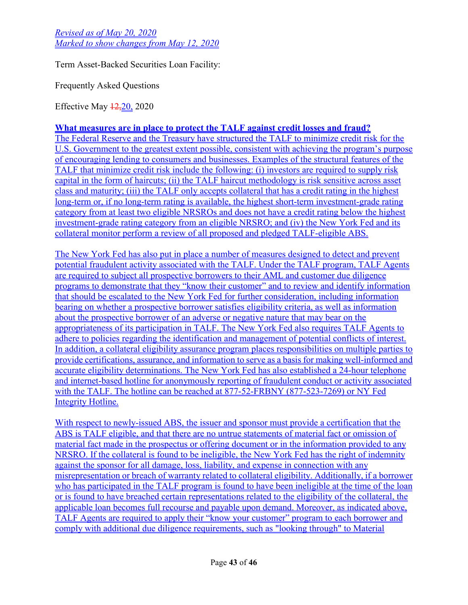Term Asset-Backed Securities Loan Facility:

Frequently Asked Questions

Effective May 12,20, 2020

## **What measures are in place to protect the TALF against credit losses and fraud?**

The Federal Reserve and the Treasury have structured the TALF to minimize credit risk for the U.S. Government to the greatest extent possible, consistent with achieving the program's purpose of encouraging lending to consumers and businesses. Examples of the structural features of the TALF that minimize credit risk include the following: (i) investors are required to supply risk capital in the form of haircuts; (ii) the TALF haircut methodology is risk sensitive across asset class and maturity; (iii) the TALF only accepts collateral that has a credit rating in the highest long-term or, if no long-term rating is available, the highest short-term investment-grade rating category from at least two eligible NRSROs and does not have a credit rating below the highest investment-grade rating category from an eligible NRSRO; and (iv) the New York Fed and its collateral monitor perform a review of all proposed and pledged TALF-eligible ABS.

The New York Fed has also put in place a number of measures designed to detect and prevent potential fraudulent activity associated with the TALF. Under the TALF program, TALF Agents are required to subject all prospective borrowers to their AML and customer due diligence programs to demonstrate that they "know their customer" and to review and identify information that should be escalated to the New York Fed for further consideration, including information bearing on whether a prospective borrower satisfies eligibility criteria, as well as information about the prospective borrower of an adverse or negative nature that may bear on the appropriateness of its participation in TALF. The New York Fed also requires TALF Agents to adhere to policies regarding the identification and management of potential conflicts of interest. In addition, a collateral eligibility assurance program places responsibilities on multiple parties to provide certifications, assurance, and information to serve as a basis for making well-informed and accurate eligibility determinations. The New York Fed has also established a 24-hour telephone and internet-based hotline for anonymously reporting of fraudulent conduct or activity associated [with the TALF. The hotline can be reached at 877-52-FRBNY \(877-523-7269\) or NY Fed](https://secure.ethicspoint.com/domain/media/en/gui/58813/index.html) Integrity Hotline.

With respect to newly-issued ABS, the issuer and sponsor must provide a certification that the ABS is TALF eligible, and that there are no untrue statements of material fact or omission of material fact made in the prospectus or offering document or in the information provided to any NRSRO. If the collateral is found to be ineligible, the New York Fed has the right of indemnity against the sponsor for all damage, loss, liability, and expense in connection with any misrepresentation or breach of warranty related to collateral eligibility. Additionally, if a borrower who has participated in the TALF program is found to have been ineligible at the time of the loan or is found to have breached certain representations related to the eligibility of the collateral, the applicable loan becomes full recourse and payable upon demand. Moreover, as indicated above, TALF Agents are required to apply their "know your customer" program to each borrower and comply with additional due diligence requirements, such as "looking through" to Material